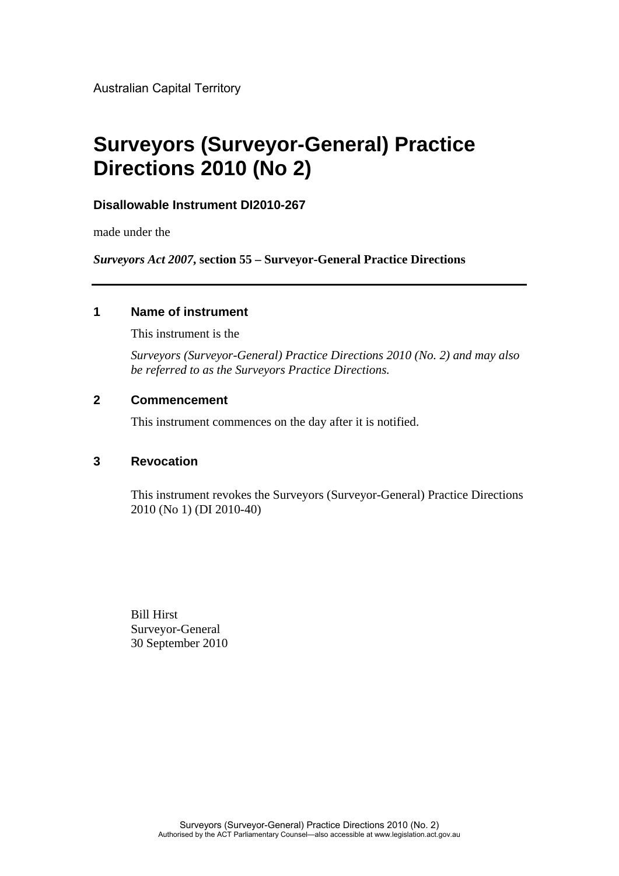Australian Capital Territory

# **Surveyors (Surveyor-General) Practice Directions 2010 (No 2)**

### **Disallowable Instrument DI2010-267**

made under the

*Surveyors Act 2007***, section 55 – Surveyor-General Practice Directions**

### **1 Name of instrument**

This instrument is the

*Surveyors (Surveyor-General) Practice Directions 2010 (No. 2) and may also be referred to as the Surveyors Practice Directions.*

### **2 Commencement**

This instrument commences on the day after it is notified.

### **3 Revocation**

This instrument revokes the Surveyors (Surveyor-General) Practice Directions 2010 (No 1) (DI 2010-40)

Bill Hirst Surveyor-General 30 September 2010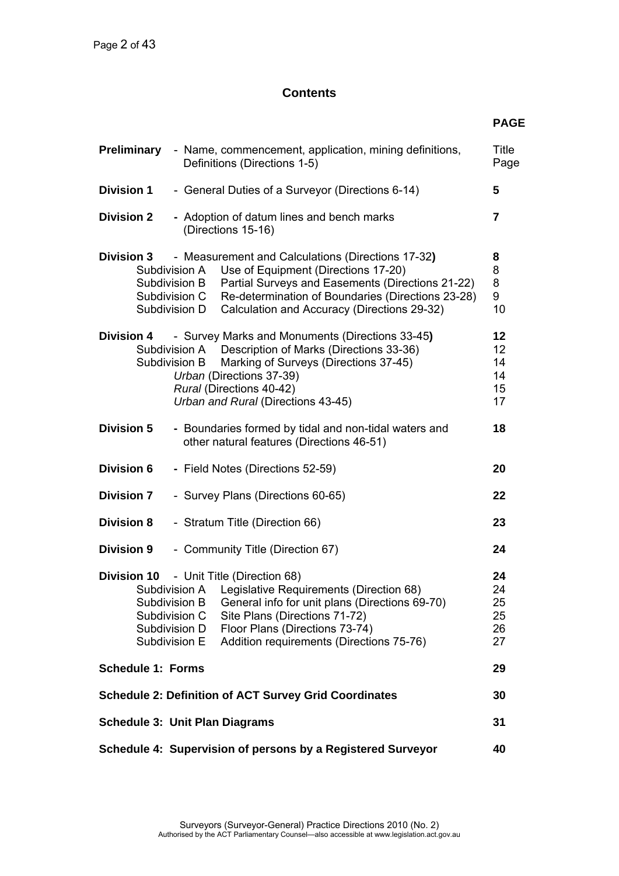### **Contents**

|                                                                                                                                                                                                                                                                                                                                                    | <b>PAGE</b>                      |
|----------------------------------------------------------------------------------------------------------------------------------------------------------------------------------------------------------------------------------------------------------------------------------------------------------------------------------------------------|----------------------------------|
| <b>Preliminary</b><br>- Name, commencement, application, mining definitions,<br>Definitions (Directions 1-5)                                                                                                                                                                                                                                       | Title<br>Page                    |
| <b>Division 1</b><br>- General Duties of a Surveyor (Directions 6-14)                                                                                                                                                                                                                                                                              | 5                                |
| <b>Division 2</b><br>- Adoption of datum lines and bench marks<br>(Directions 15-16)                                                                                                                                                                                                                                                               | $\overline{7}$                   |
| - Measurement and Calculations (Directions 17-32)<br><b>Division 3</b><br>Use of Equipment (Directions 17-20)<br>Subdivision A<br>Partial Surveys and Easements (Directions 21-22)<br>Subdivision B<br>Re-determination of Boundaries (Directions 23-28)<br>Subdivision C<br>Calculation and Accuracy (Directions 29-32)<br>Subdivision D          | 8<br>8<br>8<br>9<br>10           |
| - Survey Marks and Monuments (Directions 33-45)<br><b>Division 4</b><br>Subdivision A Description of Marks (Directions 33-36)<br>Marking of Surveys (Directions 37-45)<br>Subdivision B<br>Urban (Directions 37-39)<br>Rural (Directions 40-42)<br>Urban and Rural (Directions 43-45)                                                              | 12<br>12<br>14<br>14<br>15<br>17 |
| <b>Division 5</b><br>- Boundaries formed by tidal and non-tidal waters and<br>other natural features (Directions 46-51)                                                                                                                                                                                                                            | 18                               |
| <b>Division 6</b><br>- Field Notes (Directions 52-59)                                                                                                                                                                                                                                                                                              | 20                               |
| <b>Division 7</b><br>- Survey Plans (Directions 60-65)                                                                                                                                                                                                                                                                                             | 22                               |
| <b>Division 8</b><br>- Stratum Title (Direction 66)                                                                                                                                                                                                                                                                                                | 23                               |
| <b>Division 9</b><br>- Community Title (Direction 67)                                                                                                                                                                                                                                                                                              | 24                               |
| - Unit Title (Direction 68)<br><b>Division 10</b><br>Subdivision A<br>Legislative Requirements (Direction 68)<br>Subdivision B<br>General info for unit plans (Directions 69-70)<br>Site Plans (Directions 71-72)<br>Subdivision C<br>Floor Plans (Directions 73-74)<br>Subdivision D<br>Addition requirements (Directions 75-76)<br>Subdivision E | 24<br>24<br>25<br>25<br>26<br>27 |
| <b>Schedule 1: Forms</b>                                                                                                                                                                                                                                                                                                                           | 29                               |
| <b>Schedule 2: Definition of ACT Survey Grid Coordinates</b>                                                                                                                                                                                                                                                                                       | 30                               |
| <b>Schedule 3: Unit Plan Diagrams</b>                                                                                                                                                                                                                                                                                                              | 31                               |
| Schedule 4: Supervision of persons by a Registered Surveyor                                                                                                                                                                                                                                                                                        | 40                               |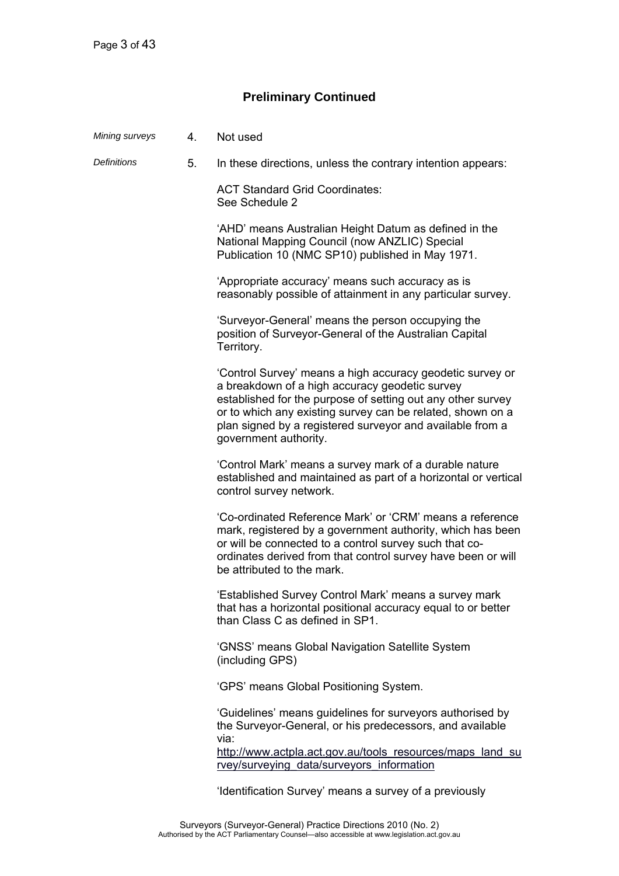### **Preliminary Continued**

| Mining surveys     | 4. | Not used                                                                                                                                                                                                                                                                                                                       |
|--------------------|----|--------------------------------------------------------------------------------------------------------------------------------------------------------------------------------------------------------------------------------------------------------------------------------------------------------------------------------|
| <b>Definitions</b> | 5. | In these directions, unless the contrary intention appears:                                                                                                                                                                                                                                                                    |
|                    |    | <b>ACT Standard Grid Coordinates:</b><br>See Schedule 2                                                                                                                                                                                                                                                                        |
|                    |    | 'AHD' means Australian Height Datum as defined in the<br>National Mapping Council (now ANZLIC) Special<br>Publication 10 (NMC SP10) published in May 1971.                                                                                                                                                                     |
|                    |    | 'Appropriate accuracy' means such accuracy as is<br>reasonably possible of attainment in any particular survey.                                                                                                                                                                                                                |
|                    |    | 'Surveyor-General' means the person occupying the<br>position of Surveyor-General of the Australian Capital<br>Territory.                                                                                                                                                                                                      |
|                    |    | 'Control Survey' means a high accuracy geodetic survey or<br>a breakdown of a high accuracy geodetic survey<br>established for the purpose of setting out any other survey<br>or to which any existing survey can be related, shown on a<br>plan signed by a registered surveyor and available from a<br>government authority. |
|                    |    | 'Control Mark' means a survey mark of a durable nature<br>established and maintained as part of a horizontal or vertical<br>control survey network.                                                                                                                                                                            |
|                    |    | 'Co-ordinated Reference Mark' or 'CRM' means a reference<br>mark, registered by a government authority, which has been<br>or will be connected to a control survey such that co-<br>ordinates derived from that control survey have been or will<br>be attributed to the mark.                                                 |
|                    |    | 'Established Survey Control Mark' means a survey mark<br>that has a horizontal positional accuracy equal to or better<br>than Class C as defined in SP1.                                                                                                                                                                       |
|                    |    | 'GNSS' means Global Navigation Satellite System<br>(including GPS)                                                                                                                                                                                                                                                             |
|                    |    | 'GPS' means Global Positioning System.                                                                                                                                                                                                                                                                                         |
|                    |    | 'Guidelines' means guidelines for surveyors authorised by<br>the Surveyor-General, or his predecessors, and available<br>via:<br>http://www.actpla.act.gov.au/tools resources/maps land su                                                                                                                                     |
|                    |    | rvey/surveying data/surveyors information                                                                                                                                                                                                                                                                                      |
|                    |    | 'Identification Survey' means a survey of a previously                                                                                                                                                                                                                                                                         |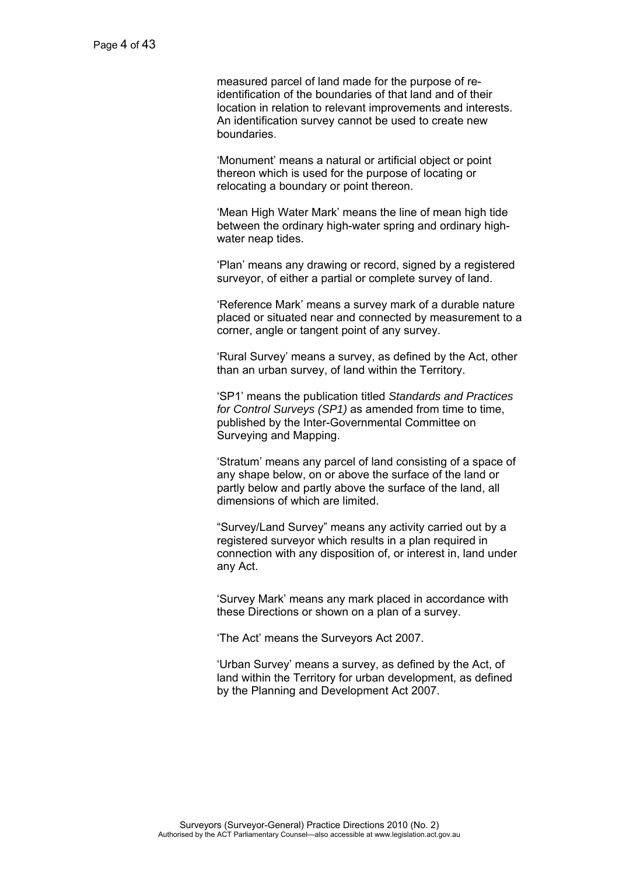measured parcel of land made for the purpose of reidentification of the boundaries of that land and of their location in relation to relevant improvements and interests. An identification survey cannot be used to create new boundaries.

 'Monument' means a natural or artificial object or point thereon which is used for the purpose of locating or relocating a boundary or point thereon.

 'Mean High Water Mark' means the line of mean high tide between the ordinary high-water spring and ordinary highwater neap tides.

 'Plan' means any drawing or record, signed by a registered surveyor, of either a partial or complete survey of land.

 'Reference Mark' means a survey mark of a durable nature placed or situated near and connected by measurement to a corner, angle or tangent point of any survey.

 'Rural Survey' means a survey, as defined by the Act, other than an urban survey, of land within the Territory.

 'SP1' means the publication titled *Standards and Practices for Control Surveys (SP1)* as amended from time to time, published by the Inter-Governmental Committee on Surveying and Mapping.

 'Stratum' means any parcel of land consisting of a space of any shape below, on or above the surface of the land or partly below and partly above the surface of the land, all dimensions of which are limited.

 "Survey/Land Survey" means any activity carried out by a registered surveyor which results in a plan required in connection with any disposition of, or interest in, land under any Act.

 'Survey Mark' means any mark placed in accordance with these Directions or shown on a plan of a survey.

'The Act' means the Surveyors Act 2007.

 'Urban Survey' means a survey, as defined by the Act, of land within the Territory for urban development, as defined by the Planning and Development Act 2007.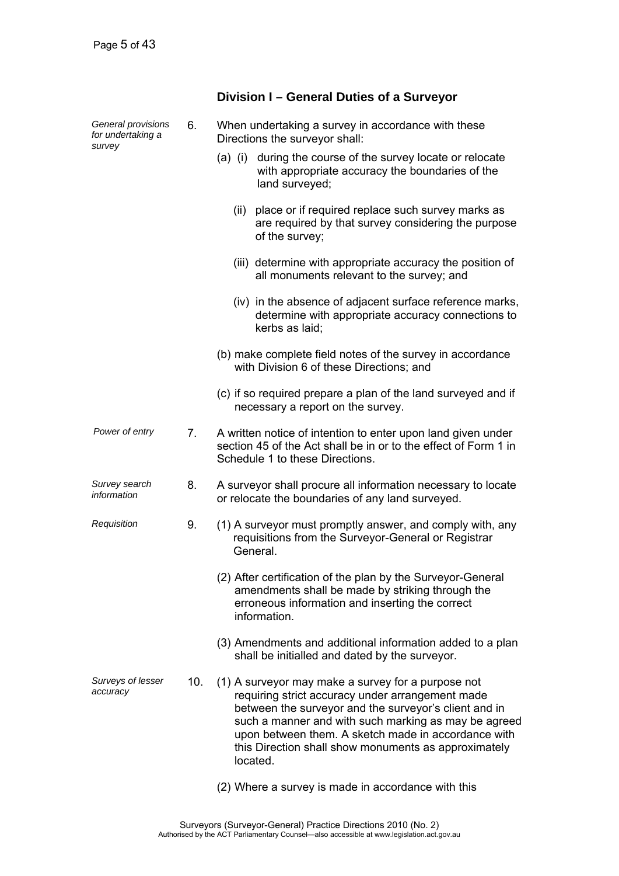| General provisions<br>for undertaking a<br>survey | 6.  | When undertaking a survey in accordance with these<br>Directions the surveyor shall:                                                                                                                                                                                                                                                               |
|---------------------------------------------------|-----|----------------------------------------------------------------------------------------------------------------------------------------------------------------------------------------------------------------------------------------------------------------------------------------------------------------------------------------------------|
|                                                   |     | during the course of the survey locate or relocate<br>$(a)$ (i)<br>with appropriate accuracy the boundaries of the<br>land surveyed;                                                                                                                                                                                                               |
|                                                   |     | place or if required replace such survey marks as<br>(ii)<br>are required by that survey considering the purpose<br>of the survey;                                                                                                                                                                                                                 |
|                                                   |     | (iii) determine with appropriate accuracy the position of<br>all monuments relevant to the survey; and                                                                                                                                                                                                                                             |
|                                                   |     | (iv) in the absence of adjacent surface reference marks,<br>determine with appropriate accuracy connections to<br>kerbs as laid:                                                                                                                                                                                                                   |
|                                                   |     | (b) make complete field notes of the survey in accordance<br>with Division 6 of these Directions; and                                                                                                                                                                                                                                              |
|                                                   |     | (c) if so required prepare a plan of the land surveyed and if<br>necessary a report on the survey.                                                                                                                                                                                                                                                 |
| Power of entry                                    | 7.  | A written notice of intention to enter upon land given under<br>section 45 of the Act shall be in or to the effect of Form 1 in<br>Schedule 1 to these Directions.                                                                                                                                                                                 |
| Survey search<br>information                      | 8.  | A surveyor shall procure all information necessary to locate<br>or relocate the boundaries of any land surveyed.                                                                                                                                                                                                                                   |
| Requisition                                       | 9.  | (1) A surveyor must promptly answer, and comply with, any<br>requisitions from the Surveyor-General or Registrar<br>General.                                                                                                                                                                                                                       |
|                                                   |     | (2) After certification of the plan by the Surveyor-General<br>amendments shall be made by striking through the<br>erroneous information and inserting the correct<br>information.                                                                                                                                                                 |
|                                                   |     | (3) Amendments and additional information added to a plan<br>shall be initialled and dated by the surveyor.                                                                                                                                                                                                                                        |
| Surveys of lesser<br>accuracy                     | 10. | (1) A surveyor may make a survey for a purpose not<br>requiring strict accuracy under arrangement made<br>between the surveyor and the surveyor's client and in<br>such a manner and with such marking as may be agreed<br>upon between them. A sketch made in accordance with<br>this Direction shall show monuments as approximately<br>located. |
|                                                   |     | (2) Where a survey is made in accordance with this                                                                                                                                                                                                                                                                                                 |

**Division I – General Duties of a Surveyor**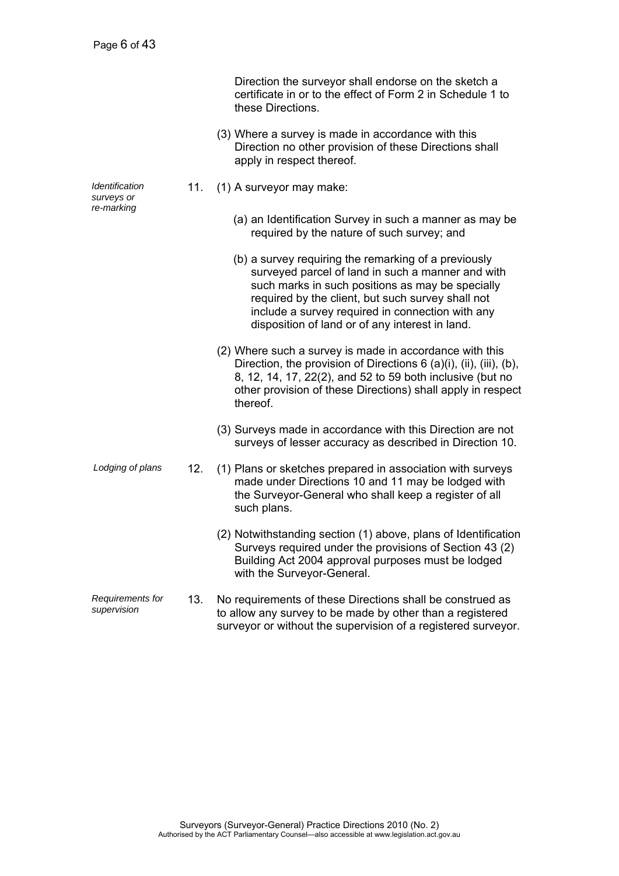|                                 |     | Direction the surveyor shall endorse on the sketch a<br>certificate in or to the effect of Form 2 in Schedule 1 to<br>these Directions.                                                                                                                                                                                   |
|---------------------------------|-----|---------------------------------------------------------------------------------------------------------------------------------------------------------------------------------------------------------------------------------------------------------------------------------------------------------------------------|
|                                 |     | (3) Where a survey is made in accordance with this<br>Direction no other provision of these Directions shall<br>apply in respect thereof.                                                                                                                                                                                 |
| Identification<br>surveys or    | 11. | (1) A surveyor may make:                                                                                                                                                                                                                                                                                                  |
| re-marking                      |     | (a) an Identification Survey in such a manner as may be<br>required by the nature of such survey; and                                                                                                                                                                                                                     |
|                                 |     | (b) a survey requiring the remarking of a previously<br>surveyed parcel of land in such a manner and with<br>such marks in such positions as may be specially<br>required by the client, but such survey shall not<br>include a survey required in connection with any<br>disposition of land or of any interest in land. |
|                                 |     | (2) Where such a survey is made in accordance with this<br>Direction, the provision of Directions 6 (a)(i), (ii), (iii), (b),<br>8, 12, 14, 17, 22(2), and 52 to 59 both inclusive (but no<br>other provision of these Directions) shall apply in respect<br>thereof.                                                     |
|                                 |     | (3) Surveys made in accordance with this Direction are not<br>surveys of lesser accuracy as described in Direction 10.                                                                                                                                                                                                    |
| Lodging of plans                | 12. | (1) Plans or sketches prepared in association with surveys<br>made under Directions 10 and 11 may be lodged with<br>the Surveyor-General who shall keep a register of all<br>such plans.                                                                                                                                  |
|                                 |     | (2) Notwithstanding section (1) above, plans of Identification<br>Surveys required under the provisions of Section 43 (2)<br>Building Act 2004 approval purposes must be lodged<br>with the Surveyor-General.                                                                                                             |
| Requirements for<br>supervision | 13. | No requirements of these Directions shall be construed as<br>to allow any survey to be made by other than a registered                                                                                                                                                                                                    |

surveyor or without the supervision of a registered surveyor.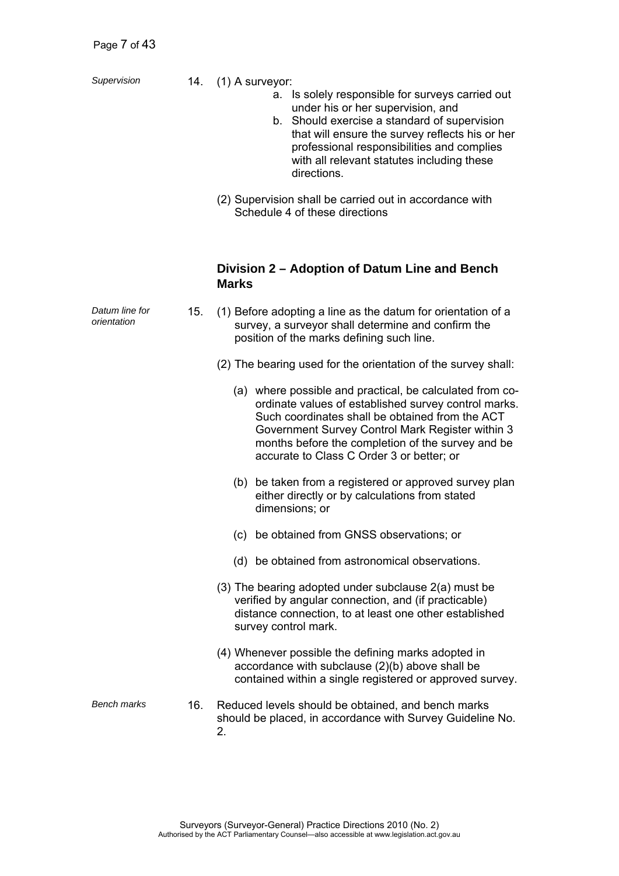- *Supervision* 14. (1) A surveyor:
	- a. Is solely responsible for surveys carried out under his or her supervision, and
	- b. Should exercise a standard of supervision that will ensure the survey reflects his or her professional responsibilities and complies with all relevant statutes including these directions.
	- (2) Supervision shall be carried out in accordance with Schedule 4 of these directions

### **Division 2 – Adoption of Datum Line and Bench Marks**

| Datum line for<br>orientation | 15. | (1) Before adopting a line as the datum for orientation of a<br>survey, a surveyor shall determine and confirm the<br>position of the marks defining such line.                                                                                                                                                           |  |  |  |  |
|-------------------------------|-----|---------------------------------------------------------------------------------------------------------------------------------------------------------------------------------------------------------------------------------------------------------------------------------------------------------------------------|--|--|--|--|
|                               |     | (2) The bearing used for the orientation of the survey shall:                                                                                                                                                                                                                                                             |  |  |  |  |
|                               |     | (a) where possible and practical, be calculated from co-<br>ordinate values of established survey control marks.<br>Such coordinates shall be obtained from the ACT<br>Government Survey Control Mark Register within 3<br>months before the completion of the survey and be<br>accurate to Class C Order 3 or better; or |  |  |  |  |
|                               |     | (b) be taken from a registered or approved survey plan<br>either directly or by calculations from stated<br>dimensions; or                                                                                                                                                                                                |  |  |  |  |
|                               |     | be obtained from GNSS observations; or<br>(c)                                                                                                                                                                                                                                                                             |  |  |  |  |
|                               |     | (d) be obtained from astronomical observations.                                                                                                                                                                                                                                                                           |  |  |  |  |
|                               |     | (3) The bearing adopted under subclause 2(a) must be<br>verified by angular connection, and (if practicable)<br>distance connection, to at least one other established<br>survey control mark.                                                                                                                            |  |  |  |  |
|                               |     | (4) Whenever possible the defining marks adopted in<br>accordance with subclause (2)(b) above shall be<br>contained within a single registered or approved survey.                                                                                                                                                        |  |  |  |  |
| <b>Bench marks</b>            | 16. | Reduced levels should be obtained, and bench marks<br>should be placed, in accordance with Survey Guideline No.<br>2.                                                                                                                                                                                                     |  |  |  |  |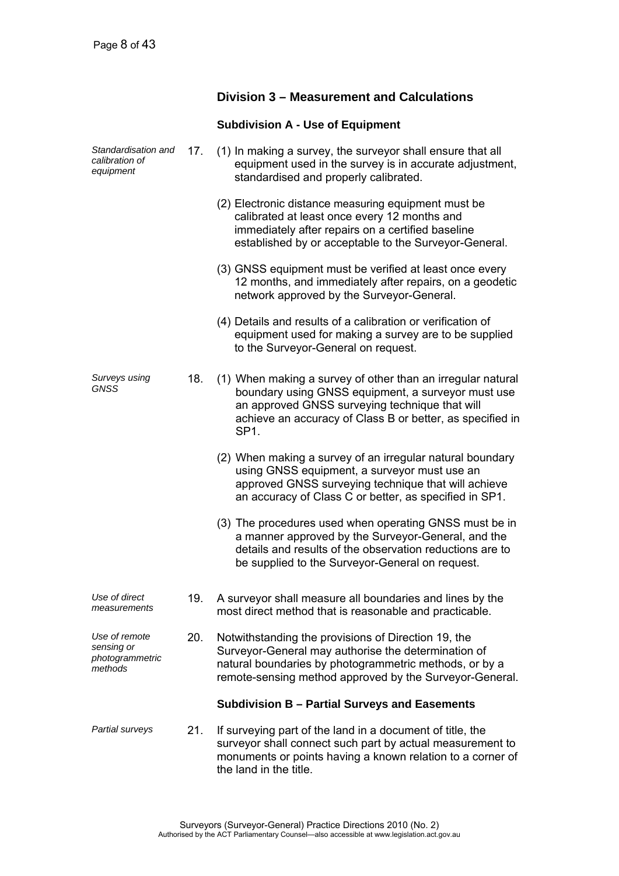### **Division 3 – Measurement and Calculations**

#### **Subdivision A - Use of Equipment**

- *Standardisation and calibration of equipment*  17. (1) In making a survey, the surveyor shall ensure that all equipment used in the survey is in accurate adjustment, standardised and properly calibrated. (2) Electronic distance measuring equipment must be calibrated at least once every 12 months and immediately after repairs on a certified baseline established by or acceptable to the Surveyor-General. (3) GNSS equipment must be verified at least once every 12 months, and immediately after repairs, on a geodetic network approved by the Surveyor-General. (4) Details and results of a calibration or verification of equipment used for making a survey are to be supplied to the Surveyor-General on request. *Surveys using GNSS*  18. (1) When making a survey of other than an irregular natural boundary using GNSS equipment, a surveyor must use an approved GNSS surveying technique that will achieve an accuracy of Class B or better, as specified in SP1. (2) When making a survey of an irregular natural boundary using GNSS equipment, a surveyor must use an approved GNSS surveying technique that will achieve an accuracy of Class C or better, as specified in SP1. (3) The procedures used when operating GNSS must be in a manner approved by the Surveyor-General, and the details and results of the observation reductions are to be supplied to the Surveyor-General on request. *Use of direct measurements*  19. A surveyor shall measure all boundaries and lines by the most direct method that is reasonable and practicable. *Use of remote*
- *sensing or photogrammetric methods*  20. Notwithstanding the provisions of Direction 19, the Surveyor-General may authorise the determination of natural boundaries by photogrammetric methods, or by a remote-sensing method approved by the Surveyor-General.

#### **Subdivision B – Partial Surveys and Easements**

*Partial surveys* 21. If surveying part of the land in a document of title, the surveyor shall connect such part by actual measurement to monuments or points having a known relation to a corner of the land in the title.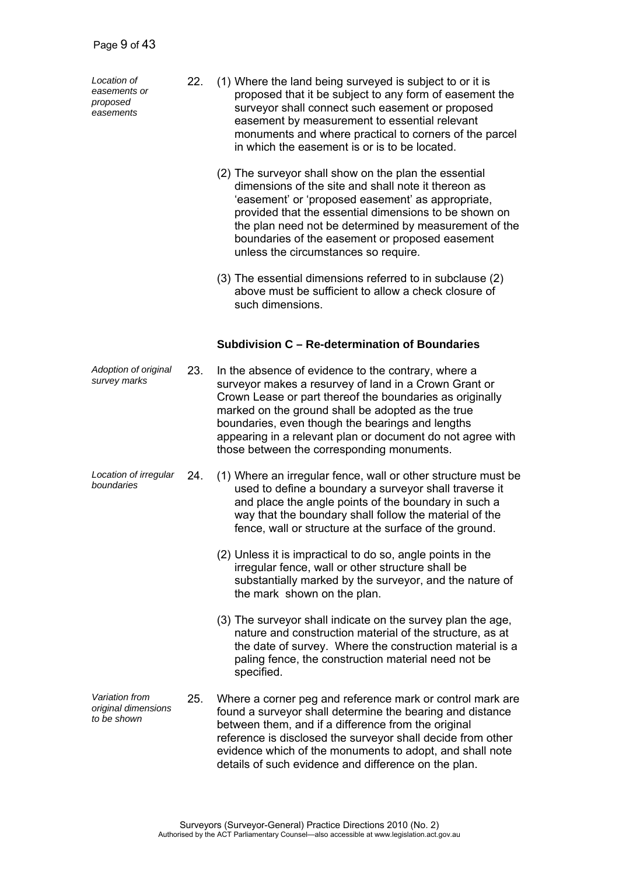*Location of easements or proposed easements* 

- 22. (1) Where the land being surveyed is subject to or it is proposed that it be subject to any form of easement the surveyor shall connect such easement or proposed easement by measurement to essential relevant monuments and where practical to corners of the parcel in which the easement is or is to be located.
	- (2) The surveyor shall show on the plan the essential dimensions of the site and shall note it thereon as 'easement' or 'proposed easement' as appropriate, provided that the essential dimensions to be shown on the plan need not be determined by measurement of the boundaries of the easement or proposed easement unless the circumstances so require.
	- (3) The essential dimensions referred to in subclause (2) above must be sufficient to allow a check closure of such dimensions.

### **Subdivision C – Re-determination of Boundaries**

- *Adoption of original*  23. In the absence of evidence to the contrary, where a surveyor makes a resurvey of land in a Crown Grant or Crown Lease or part thereof the boundaries as originally marked on the ground shall be adopted as the true boundaries, even though the bearings and lengths appearing in a relevant plan or document do not agree with those between the corresponding monuments.
- *Location of irregular boundaries* 24. (1) Where an irregular fence, wall or other structure must be used to define a boundary a surveyor shall traverse it and place the angle points of the boundary in such a way that the boundary shall follow the material of the fence, wall or structure at the surface of the ground.
	- (2) Unless it is impractical to do so, angle points in the irregular fence, wall or other structure shall be substantially marked by the surveyor, and the nature of the mark shown on the plan.
	- (3) The surveyor shall indicate on the survey plan the age, nature and construction material of the structure, as at the date of survey. Where the construction material is a paling fence, the construction material need not be specified.
- *Variation from original dimensions to be shown*  25. Where a corner peg and reference mark or control mark are found a surveyor shall determine the bearing and distance between them, and if a difference from the original reference is disclosed the surveyor shall decide from other evidence which of the monuments to adopt, and shall note details of such evidence and difference on the plan.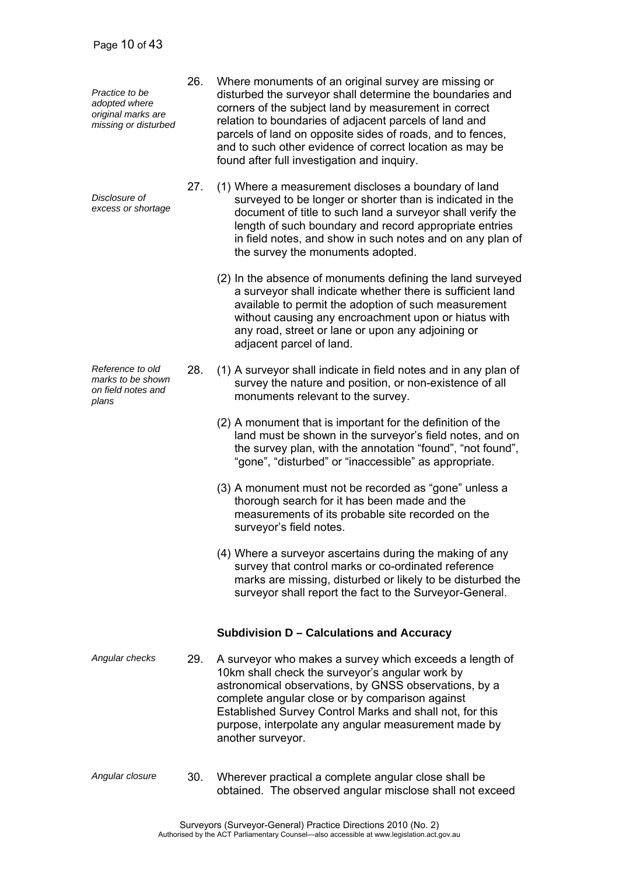*Practice to be adopted where original marks are missing or disturbed* 

*Disclosure of excess or shortage*

*Reference to old marks to be shown on field notes and plans* 

- 26. Where monuments of an original survey are missing or disturbed the surveyor shall determine the boundaries and corners of the subject land by measurement in correct relation to boundaries of adjacent parcels of land and parcels of land on opposite sides of roads, and to fences, and to such other evidence of correct location as may be found after full investigation and inquiry.
- 27. (1) Where a measurement discloses a boundary of land surveyed to be longer or shorter than is indicated in the document of title to such land a surveyor shall verify the length of such boundary and record appropriate entries in field notes, and show in such notes and on any plan of the survey the monuments adopted.
	- (2) In the absence of monuments defining the land surveyed a surveyor shall indicate whether there is sufficient land available to permit the adoption of such measurement without causing any encroachment upon or hiatus with any road, street or lane or upon any adjoining or adjacent parcel of land.
- 28. (1) A surveyor shall indicate in field notes and in any plan of survey the nature and position, or non-existence of all monuments relevant to the survey.
	- (2) A monument that is important for the definition of the land must be shown in the surveyor's field notes, and on the survey plan, with the annotation "found", "not found", "gone", "disturbed" or "inaccessible" as appropriate.
	- (3) A monument must not be recorded as "gone" unless a thorough search for it has been made and the measurements of its probable site recorded on the surveyor's field notes.
	- (4) Where a surveyor ascertains during the making of any survey that control marks or co-ordinated reference marks are missing, disturbed or likely to be disturbed the surveyor shall report the fact to the Surveyor-General.

### **Subdivision D – Calculations and Accuracy**

- *Angular checks* 29. A surveyor who makes a survey which exceeds a length of 10km shall check the surveyor's angular work by astronomical observations, by GNSS observations, by a complete angular close or by comparison against Established Survey Control Marks and shall not, for this purpose, interpolate any angular measurement made by another surveyor.
- *Angular closure* 30. Wherever practical a complete angular close shall be obtained. The observed angular misclose shall not exceed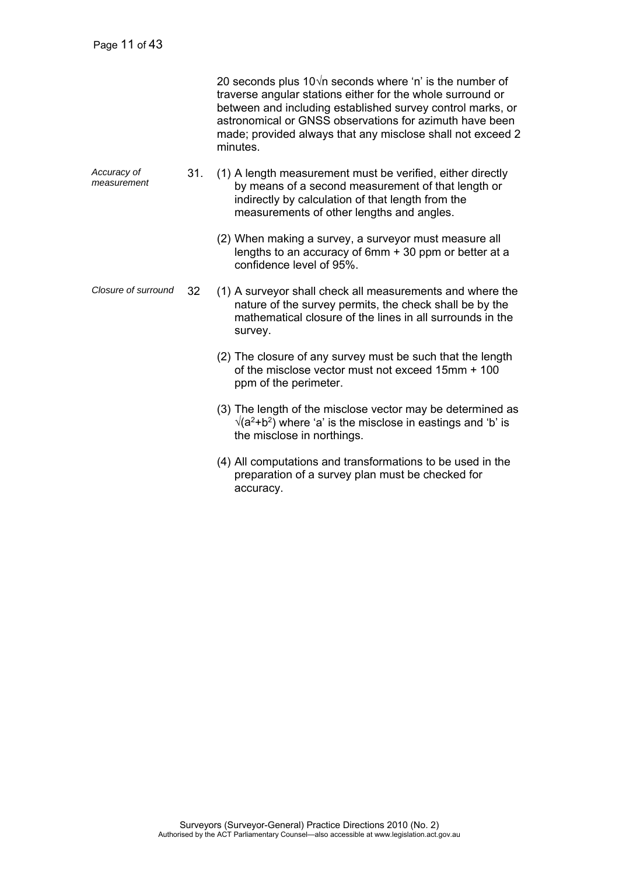|                            |     | 20 seconds plus $10\sqrt{n}$ seconds where 'n' is the number of<br>traverse angular stations either for the whole surround or<br>between and including established survey control marks, or<br>astronomical or GNSS observations for azimuth have been<br>made; provided always that any misclose shall not exceed 2<br>minutes. |
|----------------------------|-----|----------------------------------------------------------------------------------------------------------------------------------------------------------------------------------------------------------------------------------------------------------------------------------------------------------------------------------|
| Accuracy of<br>measurement | 31. | (1) A length measurement must be verified, either directly<br>by means of a second measurement of that length or<br>indirectly by calculation of that length from the<br>measurements of other lengths and angles.                                                                                                               |
|                            |     | (2) When making a survey, a surveyor must measure all<br>lengths to an accuracy of $6mm + 30$ ppm or better at a<br>confidence level of 95%.                                                                                                                                                                                     |
| Closure of surround        | 32  | (1) A surveyor shall check all measurements and where the<br>nature of the survey permits, the check shall be by the<br>mathematical closure of the lines in all surrounds in the<br>survey.                                                                                                                                     |
|                            |     | (2) The closure of any survey must be such that the length<br>of the misclose vector must not exceed 15mm + 100<br>ppm of the perimeter.                                                                                                                                                                                         |
|                            |     | (3) The length of the misclose vector may be determined as<br>$\sqrt{(a^2+b^2)}$ where 'a' is the misclose in eastings and 'b' is<br>the misclose in northings.                                                                                                                                                                  |
|                            |     | (4) All computations and transformations to be used in the<br>preparation of a survey plan must be checked for<br>accuracy.                                                                                                                                                                                                      |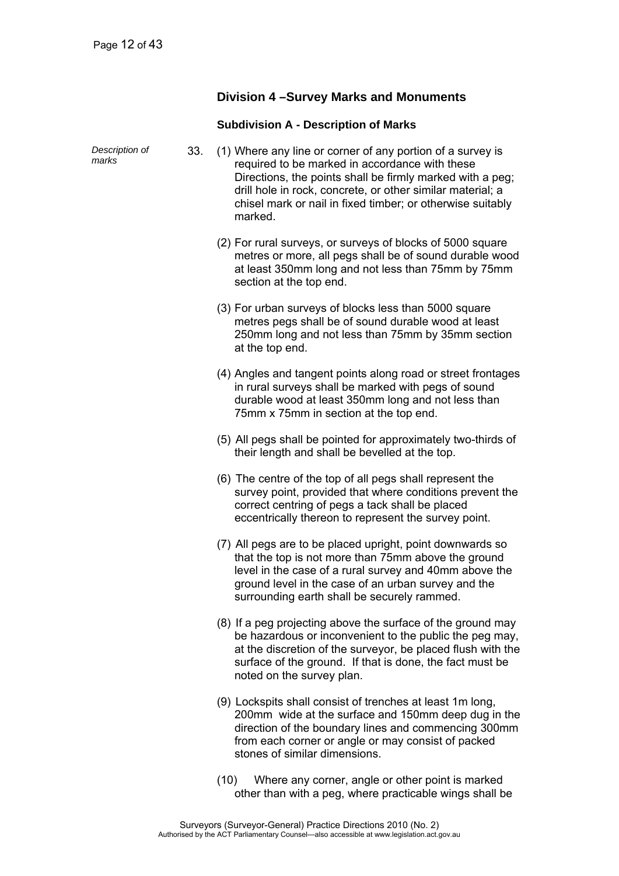### **Division 4 –Survey Marks and Monuments**

#### **Subdivision A - Description of Marks**

| Description of<br>marks | 33. | (1) Where any line or corner of any portion of a survey is<br>required to be marked in accordance with these<br>Directions, the points shall be firmly marked with a peg;<br>drill hole in rock, concrete, or other similar material; a<br>chisel mark or nail in fixed timber; or otherwise suitably<br>marked. |
|-------------------------|-----|------------------------------------------------------------------------------------------------------------------------------------------------------------------------------------------------------------------------------------------------------------------------------------------------------------------|
|                         |     | (2) For rural surveys, or surveys of blocks of 5000 square<br>metres or more, all pegs shall be of sound durable wood<br>at least 350mm long and not less than 75mm by 75mm<br>section at the top end.                                                                                                           |
|                         |     | (3) For urban surveys of blocks less than 5000 square<br>metres pegs shall be of sound durable wood at least<br>250mm long and not less than 75mm by 35mm section<br>at the top end.                                                                                                                             |
|                         |     | (4) Angles and tangent points along road or street frontages<br>in rural surveys shall be marked with pegs of sound<br>durable wood at least 350mm long and not less than<br>75mm x 75mm in section at the top end.                                                                                              |
|                         |     | (5) All pegs shall be pointed for approximately two-thirds of<br>their length and shall be bevelled at the top.                                                                                                                                                                                                  |
|                         |     | (6) The centre of the top of all pegs shall represent the<br>survey point, provided that where conditions prevent the<br>correct centring of pegs a tack shall be placed<br>eccentrically thereon to represent the survey point.                                                                                 |
|                         |     | (7) All pegs are to be placed upright, point downwards so<br>that the top is not more than 75mm above the ground<br>level in the case of a rural survey and 40mm above the<br>ground level in the case of an urban survey and the<br>surrounding earth shall be securely rammed.                                 |
|                         |     | (8) If a peg projecting above the surface of the ground may<br>be hazardous or inconvenient to the public the peg may,<br>at the discretion of the surveyor, be placed flush with the<br>surface of the ground. If that is done, the fact must be<br>noted on the survey plan.                                   |
|                         |     | (9) Lockspits shall consist of trenches at least 1m long,<br>200mm wide at the surface and 150mm deep dug in the<br>direction of the boundary lines and commencing 300mm<br>from each corner or angle or may consist of packed<br>stones of similar dimensions.                                                  |

 (10) Where any corner, angle or other point is marked other than with a peg, where practicable wings shall be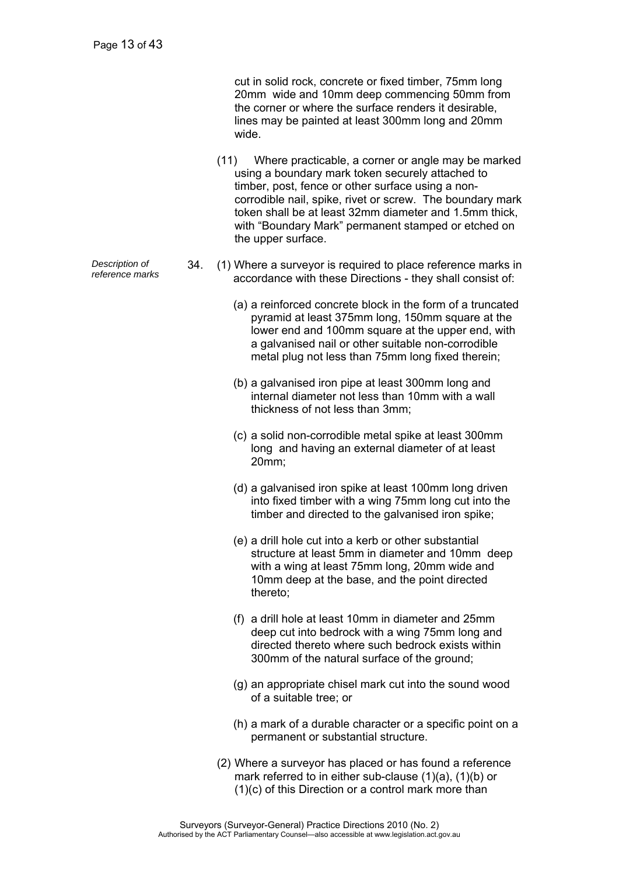cut in solid rock, concrete or fixed timber, 75mm long 20mm wide and 10mm deep commencing 50mm from the corner or where the surface renders it desirable, lines may be painted at least 300mm long and 20mm wide.

- (11) Where practicable, a corner or angle may be marked using a boundary mark token securely attached to timber, post, fence or other surface using a noncorrodible nail, spike, rivet or screw. The boundary mark token shall be at least 32mm diameter and 1.5mm thick, with "Boundary Mark" permanent stamped or etched on the upper surface.
- *Pescription of* 34. (1) Where a surveyor is required to place reference marks in reference marks in 2000 2000 2000 with these Directions they chall consist of accordance with these Directions - they shall consist of:
	- (a) a reinforced concrete block in the form of a truncated pyramid at least 375mm long, 150mm square at the lower end and 100mm square at the upper end, with a galvanised nail or other suitable non-corrodible metal plug not less than 75mm long fixed therein;
	- (b) a galvanised iron pipe at least 300mm long and internal diameter not less than 10mm with a wall thickness of not less than 3mm;
	- (c) a solid non-corrodible metal spike at least 300mm long and having an external diameter of at least 20mm;
	- (d) a galvanised iron spike at least 100mm long driven into fixed timber with a wing 75mm long cut into the timber and directed to the galvanised iron spike;
	- (e) a drill hole cut into a kerb or other substantial structure at least 5mm in diameter and 10mm deep with a wing at least 75mm long, 20mm wide and 10mm deep at the base, and the point directed thereto;
	- (f) a drill hole at least 10mm in diameter and 25mm deep cut into bedrock with a wing 75mm long and directed thereto where such bedrock exists within 300mm of the natural surface of the ground;
	- (g) an appropriate chisel mark cut into the sound wood of a suitable tree; or
	- (h) a mark of a durable character or a specific point on a permanent or substantial structure.
	- (2) Where a surveyor has placed or has found a reference mark referred to in either sub-clause (1)(a), (1)(b) or (1)(c) of this Direction or a control mark more than

*Description of*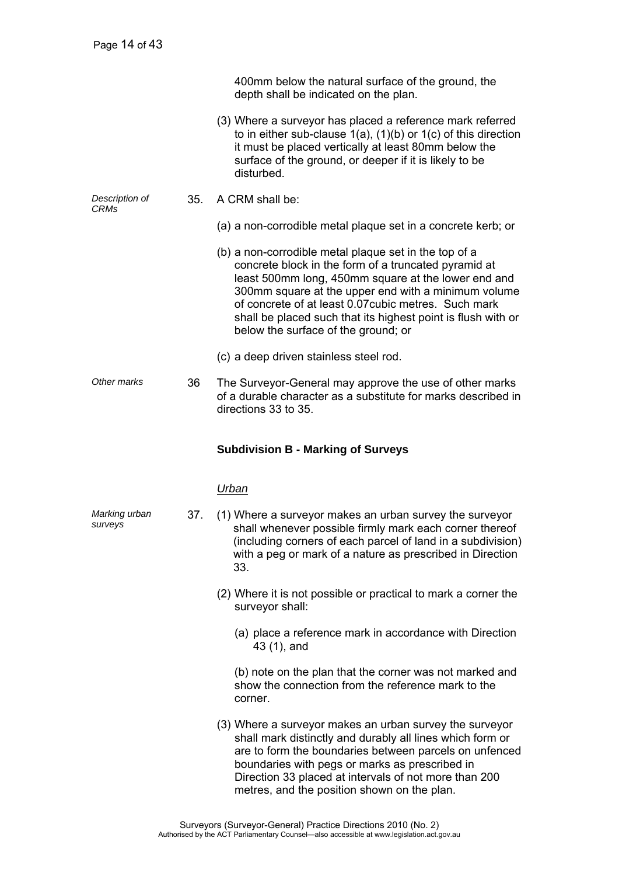|                        |     | 400mm below the natural surface of the ground, the<br>depth shall be indicated on the plan.                                                                                                                                                                                                                                                                                                |
|------------------------|-----|--------------------------------------------------------------------------------------------------------------------------------------------------------------------------------------------------------------------------------------------------------------------------------------------------------------------------------------------------------------------------------------------|
|                        |     | (3) Where a surveyor has placed a reference mark referred<br>to in either sub-clause $1(a)$ , $(1)(b)$ or $1(c)$ of this direction<br>it must be placed vertically at least 80mm below the<br>surface of the ground, or deeper if it is likely to be<br>disturbed.                                                                                                                         |
| Description of<br>CRMs | 35. | A CRM shall be:                                                                                                                                                                                                                                                                                                                                                                            |
|                        |     | (a) a non-corrodible metal plaque set in a concrete kerb; or                                                                                                                                                                                                                                                                                                                               |
|                        |     | (b) a non-corrodible metal plaque set in the top of a<br>concrete block in the form of a truncated pyramid at<br>least 500mm long, 450mm square at the lower end and<br>300mm square at the upper end with a minimum volume<br>of concrete of at least 0.07 cubic metres. Such mark<br>shall be placed such that its highest point is flush with or<br>below the surface of the ground; or |
|                        |     | (c) a deep driven stainless steel rod.                                                                                                                                                                                                                                                                                                                                                     |
| Other marks            | 36  | The Surveyor-General may approve the use of other marks<br>of a durable character as a substitute for marks described in<br>directions 33 to 35.                                                                                                                                                                                                                                           |
|                        |     | <b>Subdivision B - Marking of Surveys</b>                                                                                                                                                                                                                                                                                                                                                  |
|                        |     | Urban                                                                                                                                                                                                                                                                                                                                                                                      |

- *Marking urban surveys*  37. (1) Where a surveyor makes an urban survey the surveyor shall whenever possible firmly mark each corner thereof (including corners of each parcel of land in a subdivision) with a peg or mark of a nature as prescribed in Direction 33.
	- (2) Where it is not possible or practical to mark a corner the surveyor shall:
		- (a) place a reference mark in accordance with Direction 43 (1), and

(b) note on the plan that the corner was not marked and show the connection from the reference mark to the corner.

 (3) Where a surveyor makes an urban survey the surveyor shall mark distinctly and durably all lines which form or are to form the boundaries between parcels on unfenced boundaries with pegs or marks as prescribed in Direction 33 placed at intervals of not more than 200 metres, and the position shown on the plan.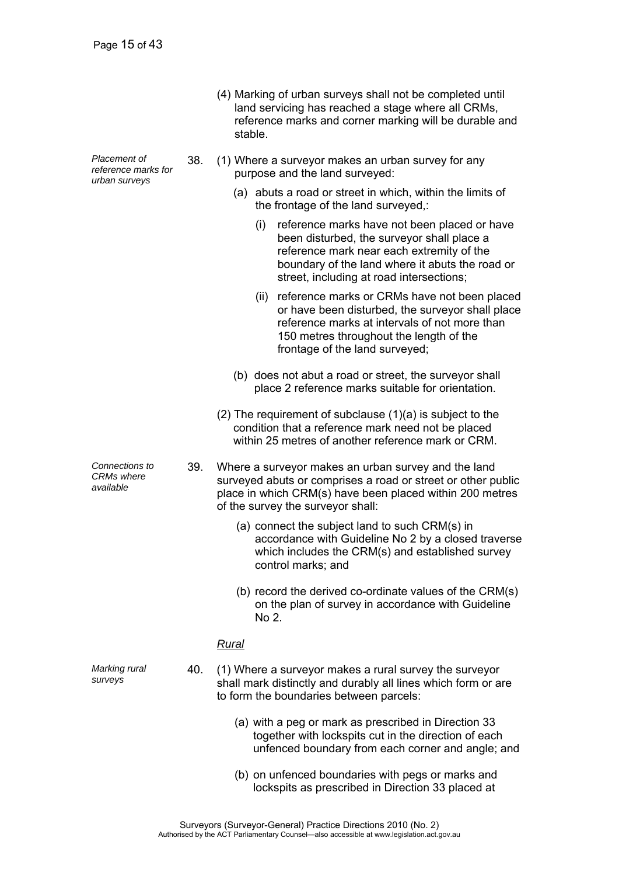| (4) Marking of urban surveys shall not be completed until |
|-----------------------------------------------------------|
| land servicing has reached a stage where all CRMs,        |
| reference marks and corner marking will be durable and    |
| stable.                                                   |

- 38. (1) Where a surveyor makes an urban survey for any purpose and the land surveyed:
	- (a) abuts a road or street in which, within the limits of the frontage of the land surveyed,:
		- (i) reference marks have not been placed or have been disturbed, the surveyor shall place a reference mark near each extremity of the boundary of the land where it abuts the road or street, including at road intersections;
		- (ii) reference marks or CRMs have not been placed or have been disturbed, the surveyor shall place reference marks at intervals of not more than 150 metres throughout the length of the frontage of the land surveyed;
	- (b) does not abut a road or street, the surveyor shall place 2 reference marks suitable for orientation.
	- (2) The requirement of subclause (1)(a) is subject to the condition that a reference mark need not be placed within 25 metres of another reference mark or CRM
- 39. Where a surveyor makes an urban survey and the land surveyed abuts or comprises a road or street or other public place in which CRM(s) have been placed within 200 metres of the survey the surveyor shall:
	- (a) connect the subject land to such CRM(s) in accordance with Guideline No 2 by a closed traverse which includes the CRM(s) and established survey control marks; and
	- (b) record the derived co-ordinate values of the CRM(s) on the plan of survey in accordance with Guideline No 2.

### *Rural*

- 40. (1) Where a surveyor makes a rural survey the surveyor shall mark distinctly and durably all lines which form or are to form the boundaries between parcels:
	- (a) with a peg or mark as prescribed in Direction 33 together with lockspits cut in the direction of each unfenced boundary from each corner and angle; and
	- (b) on unfenced boundaries with pegs or marks and lockspits as prescribed in Direction 33 placed at

*Placement of reference marks for urban surveys* 

*Connections to CRMs where available* 

*Marking rural surveys*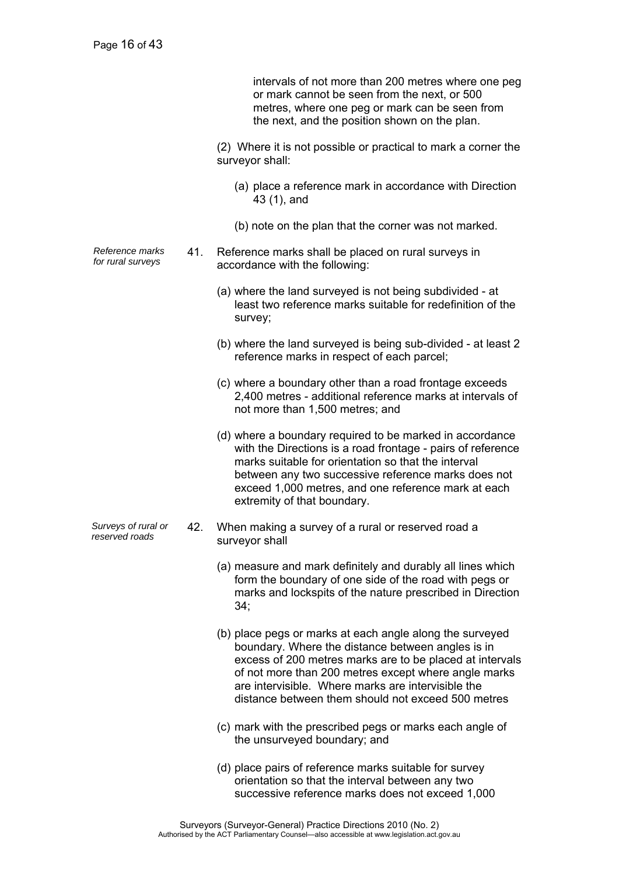intervals of not more than 200 metres where one peg or mark cannot be seen from the next, or 500 metres, where one peg or mark can be seen from the next, and the position shown on the plan.

 (2) Where it is not possible or practical to mark a corner the surveyor shall:

- (a) place a reference mark in accordance with Direction 43 (1), and
- (b) note on the plan that the corner was not marked.
- *Reference marks for rural surveys* 41. Reference marks shall be placed on rural surveys in accordance with the following:
	- (a) where the land surveyed is not being subdivided at least two reference marks suitable for redefinition of the survey;
	- (b) where the land surveyed is being sub-divided at least 2 reference marks in respect of each parcel;
	- (c) where a boundary other than a road frontage exceeds 2,400 metres - additional reference marks at intervals of not more than 1,500 metres; and
	- (d) where a boundary required to be marked in accordance with the Directions is a road frontage - pairs of reference marks suitable for orientation so that the interval between any two successive reference marks does not exceed 1,000 metres, and one reference mark at each extremity of that boundary.
- *Surveys of rural or reserved roads* 42. When making a survey of a rural or reserved road a surveyor shall
	- (a) measure and mark definitely and durably all lines which form the boundary of one side of the road with pegs or marks and lockspits of the nature prescribed in Direction 34;
	- (b) place pegs or marks at each angle along the surveyed boundary. Where the distance between angles is in excess of 200 metres marks are to be placed at intervals of not more than 200 metres except where angle marks are intervisible. Where marks are intervisible the distance between them should not exceed 500 metres
	- (c) mark with the prescribed pegs or marks each angle of the unsurveyed boundary; and
	- (d) place pairs of reference marks suitable for survey orientation so that the interval between any two successive reference marks does not exceed 1,000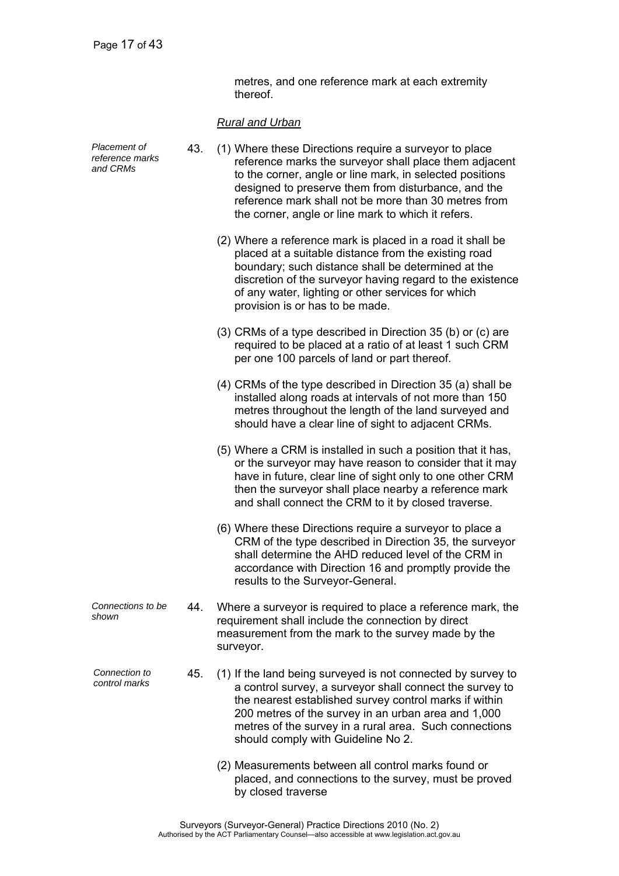metres, and one reference mark at each extremity thereof.

### *Rural and Urban*

| Placement of<br>reference marks<br>and CRMs | 43. | (1) Where these Directions require a surveyor to place<br>reference marks the surveyor shall place them adjacent<br>to the corner, angle or line mark, in selected positions<br>designed to preserve them from disturbance, and the<br>reference mark shall not be more than 30 metres from<br>the corner, angle or line mark to which it refers. |
|---------------------------------------------|-----|---------------------------------------------------------------------------------------------------------------------------------------------------------------------------------------------------------------------------------------------------------------------------------------------------------------------------------------------------|
|                                             |     | (2) Where a reference mark is placed in a road it shall be<br>placed at a suitable distance from the existing road<br>boundary; such distance shall be determined at the<br>discretion of the surveyor having regard to the existence<br>of any water, lighting or other services for which<br>provision is or has to be made.                    |
|                                             |     | (3) CRMs of a type described in Direction 35 (b) or (c) are<br>required to be placed at a ratio of at least 1 such CRM<br>per one 100 parcels of land or part thereof.                                                                                                                                                                            |
|                                             |     | (4) CRMs of the type described in Direction 35 (a) shall be<br>installed along roads at intervals of not more than 150<br>metres throughout the length of the land surveyed and<br>should have a clear line of sight to adjacent CRMs.                                                                                                            |
|                                             |     | (5) Where a CRM is installed in such a position that it has,<br>or the surveyor may have reason to consider that it may<br>have in future, clear line of sight only to one other CRM<br>then the surveyor shall place nearby a reference mark<br>and shall connect the CRM to it by closed traverse.                                              |
|                                             |     | (6) Where these Directions require a surveyor to place a<br>CRM of the type described in Direction 35, the surveyor<br>shall determine the AHD reduced level of the CRM in<br>accordance with Direction 16 and promptly provide the<br>results to the Surveyor-General.                                                                           |
| Connections to be<br>shown                  | 44  | Where a surveyor is required to place a reference mark, the<br>requirement shall include the connection by direct<br>measurement from the mark to the survey made by the<br>surveyor.                                                                                                                                                             |
| Connection to<br>control marks              | 45. | (1) If the land being surveyed is not connected by survey to<br>a control survey, a surveyor shall connect the survey to<br>the nearest established survey control marks if within<br>200 metres of the survey in an urban area and 1,000<br>metres of the survey in a rural area. Such connections<br>should comply with Guideline No 2.         |
|                                             |     | (2) Measurements between all control marks found or<br>placed, and connections to the survey, must be proved<br>by closed traverse                                                                                                                                                                                                                |
|                                             |     |                                                                                                                                                                                                                                                                                                                                                   |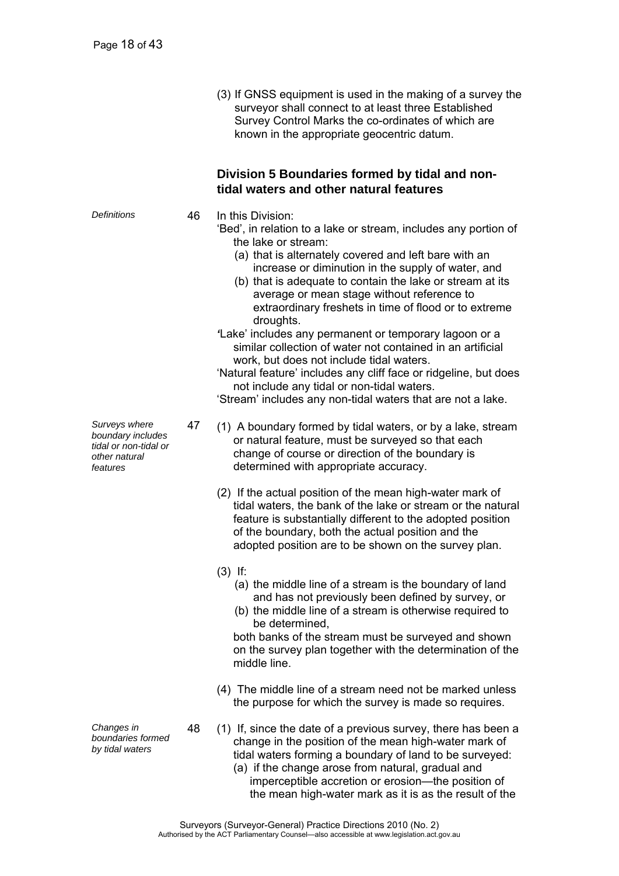(3) If GNSS equipment is used in the making of a survey the surveyor shall connect to at least three Established Survey Control Marks the co-ordinates of which are known in the appropriate geocentric datum.

### **Division 5 Boundaries formed by tidal and nontidal waters and other natural features**

*Definitions* 46 In this Division:

- 'Bed', in relation to a lake or stream, includes any portion of the lake or stream:
	- (a) that is alternately covered and left bare with an increase or diminution in the supply of water, and
	- (b) that is adequate to contain the lake or stream at its average or mean stage without reference to extraordinary freshets in time of flood or to extreme droughts.
- *'*Lake' includes any permanent or temporary lagoon or a similar collection of water not contained in an artificial work, but does not include tidal waters.

'Natural feature' includes any cliff face or ridgeline, but does not include any tidal or non-tidal waters.

'Stream' includes any non-tidal waters that are not a lake.

- 47 (1) A boundary formed by tidal waters, or by a lake, stream or natural feature, must be surveyed so that each change of course or direction of the boundary is determined with appropriate accuracy.
	- (2) If the actual position of the mean high-water mark of tidal waters, the bank of the lake or stream or the natural feature is substantially different to the adopted position of the boundary, both the actual position and the adopted position are to be shown on the survey plan.
	- (3) If:
		- (a) the middle line of a stream is the boundary of land and has not previously been defined by survey, or
		- (b) the middle line of a stream is otherwise required to be determined,

both banks of the stream must be surveyed and shown on the survey plan together with the determination of the middle line.

- (4) The middle line of a stream need not be marked unless the purpose for which the survey is made so requires.
- 48 (1) If, since the date of a previous survey, there has been a change in the position of the mean high-water mark of tidal waters forming a boundary of land to be surveyed:
	- (a) if the change arose from natural, gradual and imperceptible accretion or erosion—the position of the mean high-water mark as it is as the result of the

*Surveys where boundary includes tidal or non-tidal or other natural features* 

*Changes in boundaries formed by tidal waters*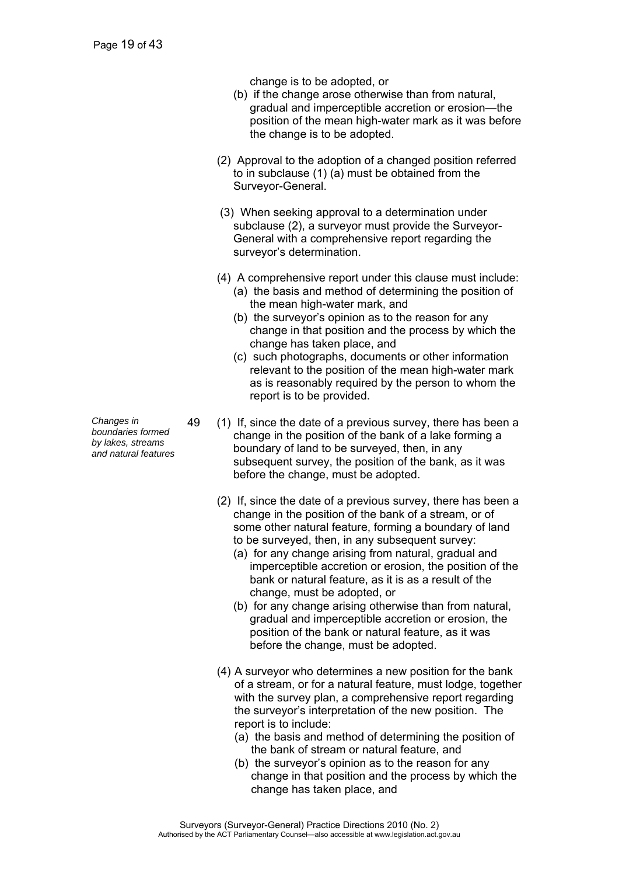change is to be adopted, or

- (b) if the change arose otherwise than from natural, gradual and imperceptible accretion or erosion—the position of the mean high-water mark as it was before the change is to be adopted.
- (2) Approval to the adoption of a changed position referred to in subclause (1) (a) must be obtained from the Surveyor-General.
- (3) When seeking approval to a determination under subclause (2), a surveyor must provide the Surveyor-General with a comprehensive report regarding the surveyor's determination.
- (4) A comprehensive report under this clause must include:
	- (a) the basis and method of determining the position of the mean high-water mark, and
	- (b) the surveyor's opinion as to the reason for any change in that position and the process by which the change has taken place, and
	- (c) such photographs, documents or other information relevant to the position of the mean high-water mark as is reasonably required by the person to whom the report is to be provided.
- 49 (1) If, since the date of a previous survey, there has been a change in the position of the bank of a lake forming a boundary of land to be surveyed, then, in any subsequent survey, the position of the bank, as it was before the change, must be adopted.
	- (2) If, since the date of a previous survey, there has been a change in the position of the bank of a stream, or of some other natural feature, forming a boundary of land to be surveyed, then, in any subsequent survey:
		- (a) for any change arising from natural, gradual and imperceptible accretion or erosion, the position of the bank or natural feature, as it is as a result of the change, must be adopted, or
		- (b) for any change arising otherwise than from natural, gradual and imperceptible accretion or erosion, the position of the bank or natural feature, as it was before the change, must be adopted.
	- (4) A surveyor who determines a new position for the bank of a stream, or for a natural feature, must lodge, together with the survey plan, a comprehensive report regarding the surveyor's interpretation of the new position. The report is to include:
		- (a) the basis and method of determining the position of the bank of stream or natural feature, and
		- (b) the surveyor's opinion as to the reason for any change in that position and the process by which the change has taken place, and

*Changes in boundaries formed by lakes, streams and natural features*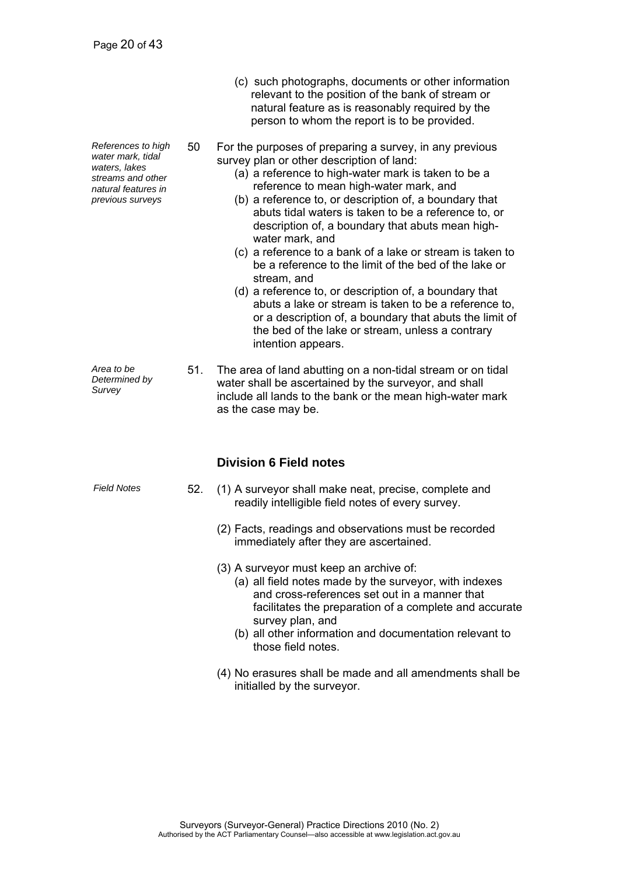*References to high water mark, tidal waters, lakes streams and other natural features in previous surveys* 

relevant to the position of the bank of stream or natural feature as is reasonably required by the person to whom the report is to be provided.

(c) such photographs, documents or other information

- 50 For the purposes of preparing a survey, in any previous survey plan or other description of land:
	- (a) a reference to high-water mark is taken to be a reference to mean high-water mark, and
	- (b) a reference to, or description of, a boundary that abuts tidal waters is taken to be a reference to, or description of, a boundary that abuts mean highwater mark, and
	- (c) a reference to a bank of a lake or stream is taken to be a reference to the limit of the bed of the lake or stream, and
	- (d) a reference to, or description of, a boundary that abuts a lake or stream is taken to be a reference to, or a description of, a boundary that abuts the limit of the bed of the lake or stream, unless a contrary intention appears.

*Area to be Determined by Survey*  51. The area of land abutting on a non-tidal stream or on tidal water shall be ascertained by the surveyor, and shall include all lands to the bank or the mean high-water mark as the case may be.

### **Division 6 Field notes**

- *Field Notes* 52. (1) A surveyor shall make neat, precise, complete and readily intelligible field notes of every survey.
	- (2) Facts, readings and observations must be recorded immediately after they are ascertained.
	- (3) A surveyor must keep an archive of:
		- (a) all field notes made by the surveyor, with indexes and cross-references set out in a manner that facilitates the preparation of a complete and accurate survey plan, and
		- (b) all other information and documentation relevant to those field notes.
	- (4) No erasures shall be made and all amendments shall be initialled by the surveyor.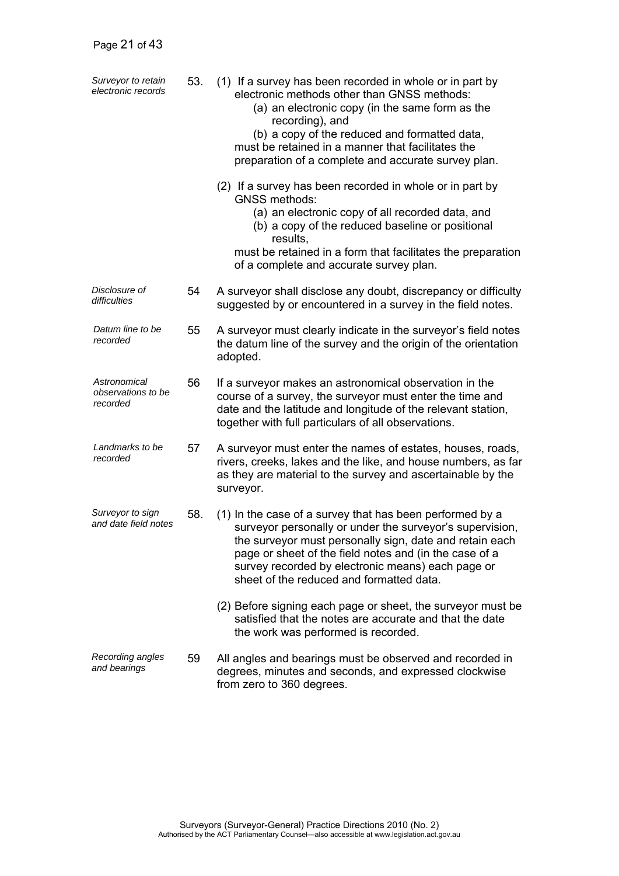| Surveyor to retain<br>electronic records       | 53. | (1) If a survey has been recorded in whole or in part by<br>electronic methods other than GNSS methods:<br>(a) an electronic copy (in the same form as the<br>recording), and<br>(b) a copy of the reduced and formatted data,<br>must be retained in a manner that facilitates the<br>preparation of a complete and accurate survey plan. |
|------------------------------------------------|-----|--------------------------------------------------------------------------------------------------------------------------------------------------------------------------------------------------------------------------------------------------------------------------------------------------------------------------------------------|
|                                                |     | (2) If a survey has been recorded in whole or in part by<br><b>GNSS methods:</b><br>(a) an electronic copy of all recorded data, and<br>(b) a copy of the reduced baseline or positional<br>results,<br>must be retained in a form that facilitates the preparation<br>of a complete and accurate survey plan.                             |
| Disclosure of<br>difficulties                  | 54  | A surveyor shall disclose any doubt, discrepancy or difficulty<br>suggested by or encountered in a survey in the field notes.                                                                                                                                                                                                              |
| Datum line to be<br>recorded                   | 55  | A surveyor must clearly indicate in the surveyor's field notes<br>the datum line of the survey and the origin of the orientation<br>adopted.                                                                                                                                                                                               |
| Astronomical<br>observations to be<br>recorded | 56  | If a surveyor makes an astronomical observation in the<br>course of a survey, the surveyor must enter the time and<br>date and the latitude and longitude of the relevant station,<br>together with full particulars of all observations.                                                                                                  |
| Landmarks to be<br>recorded                    | 57  | A surveyor must enter the names of estates, houses, roads,<br>rivers, creeks, lakes and the like, and house numbers, as far<br>as they are material to the survey and ascertainable by the<br>surveyor.                                                                                                                                    |
| Surveyor to sign<br>and date field notes       | 58. | (1) In the case of a survey that has been performed by a<br>surveyor personally or under the surveyor's supervision,<br>the surveyor must personally sign, date and retain each<br>page or sheet of the field notes and (in the case of a<br>survey recorded by electronic means) each page or<br>sheet of the reduced and formatted data. |
|                                                |     | (2) Before signing each page or sheet, the surveyor must be<br>satisfied that the notes are accurate and that the date<br>the work was performed is recorded.                                                                                                                                                                              |
| Recording angles<br>and bearings               | 59  | All angles and bearings must be observed and recorded in<br>degrees, minutes and seconds, and expressed clockwise<br>from zero to 360 degrees.                                                                                                                                                                                             |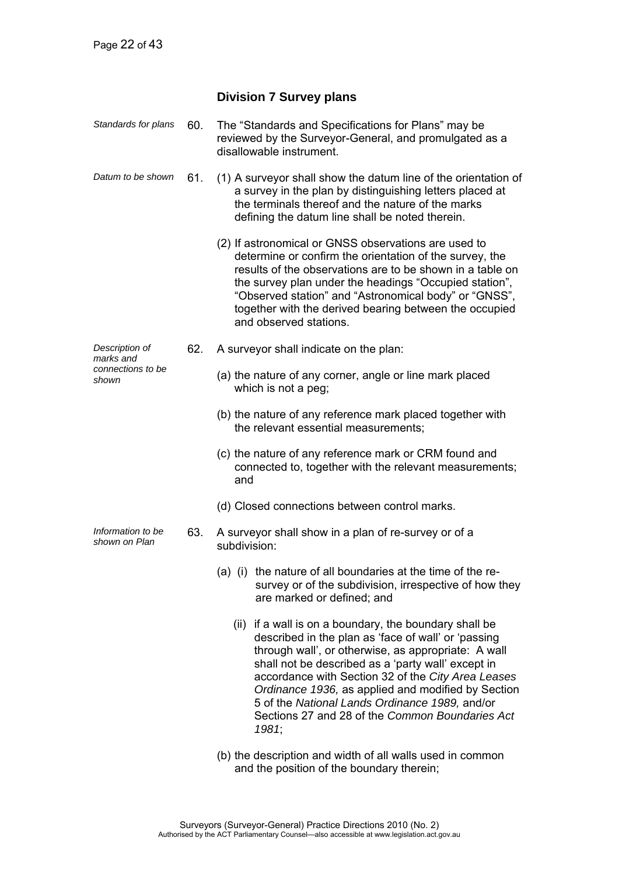### **Division 7 Survey plans**

| Standards for plans                | 60. | The "Standards and Specifications for Plans" may be<br>reviewed by the Surveyor-General, and promulgated as a<br>disallowable instrument.                                                                                                                                                                                                                                                                                                            |
|------------------------------------|-----|------------------------------------------------------------------------------------------------------------------------------------------------------------------------------------------------------------------------------------------------------------------------------------------------------------------------------------------------------------------------------------------------------------------------------------------------------|
| Datum to be shown                  | 61. | (1) A surveyor shall show the datum line of the orientation of<br>a survey in the plan by distinguishing letters placed at<br>the terminals thereof and the nature of the marks<br>defining the datum line shall be noted therein.                                                                                                                                                                                                                   |
|                                    |     | (2) If astronomical or GNSS observations are used to<br>determine or confirm the orientation of the survey, the<br>results of the observations are to be shown in a table on<br>the survey plan under the headings "Occupied station",<br>"Observed station" and "Astronomical body" or "GNSS",<br>together with the derived bearing between the occupied<br>and observed stations.                                                                  |
| Description of<br>marks and        | 62. | A surveyor shall indicate on the plan:                                                                                                                                                                                                                                                                                                                                                                                                               |
| connections to be<br>shown         |     | (a) the nature of any corner, angle or line mark placed<br>which is not a peg;                                                                                                                                                                                                                                                                                                                                                                       |
|                                    |     | (b) the nature of any reference mark placed together with<br>the relevant essential measurements;                                                                                                                                                                                                                                                                                                                                                    |
|                                    |     | (c) the nature of any reference mark or CRM found and<br>connected to, together with the relevant measurements;<br>and                                                                                                                                                                                                                                                                                                                               |
|                                    |     | (d) Closed connections between control marks.                                                                                                                                                                                                                                                                                                                                                                                                        |
| Information to be<br>shown on Plan | 63. | A surveyor shall show in a plan of re-survey or of a<br>subdivision:                                                                                                                                                                                                                                                                                                                                                                                 |
|                                    |     | (a) (i) the nature of all boundaries at the time of the re-<br>survey or of the subdivision, irrespective of how they<br>are marked or defined; and                                                                                                                                                                                                                                                                                                  |
|                                    |     | (ii) if a wall is on a boundary, the boundary shall be<br>described in the plan as 'face of wall' or 'passing<br>through wall', or otherwise, as appropriate: A wall<br>shall not be described as a 'party wall' except in<br>accordance with Section 32 of the City Area Leases<br>Ordinance 1936, as applied and modified by Section<br>5 of the National Lands Ordinance 1989, and/or<br>Sections 27 and 28 of the Common Boundaries Act<br>1981; |
|                                    |     | (b) the description and width of all walls used in common                                                                                                                                                                                                                                                                                                                                                                                            |

 (b) the description and width of all walls used in common and the position of the boundary therein;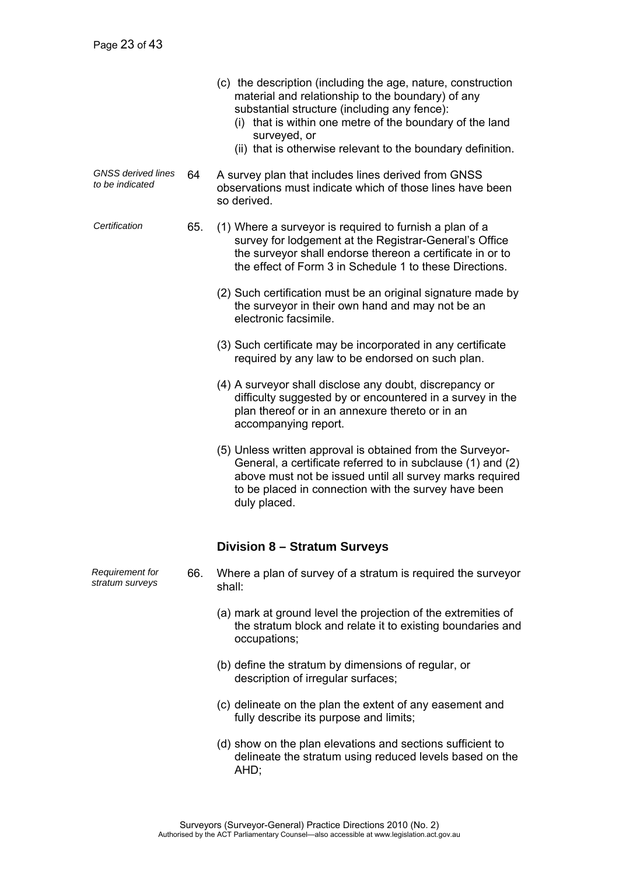|                                              |     | (c) the description (including the age, nature, construction<br>material and relationship to the boundary) of any<br>substantial structure (including any fence):<br>(i) that is within one metre of the boundary of the land<br>surveyed, or<br>(ii) that is otherwise relevant to the boundary definition. |
|----------------------------------------------|-----|--------------------------------------------------------------------------------------------------------------------------------------------------------------------------------------------------------------------------------------------------------------------------------------------------------------|
| <b>GNSS</b> derived lines<br>to be indicated | 64  | A survey plan that includes lines derived from GNSS<br>observations must indicate which of those lines have been<br>so derived.                                                                                                                                                                              |
| Certification                                | 65. | (1) Where a surveyor is required to furnish a plan of a<br>survey for lodgement at the Registrar-General's Office<br>the surveyor shall endorse thereon a certificate in or to<br>the effect of Form 3 in Schedule 1 to these Directions.                                                                    |
|                                              |     | (2) Such certification must be an original signature made by<br>the surveyor in their own hand and may not be an<br>electronic facsimile.                                                                                                                                                                    |
|                                              |     | (3) Such certificate may be incorporated in any certificate<br>required by any law to be endorsed on such plan.                                                                                                                                                                                              |
|                                              |     | (4) A surveyor shall disclose any doubt, discrepancy or<br>difficulty suggested by or encountered in a survey in the<br>plan thereof or in an annexure thereto or in an<br>accompanying report.                                                                                                              |
|                                              |     | (5) Unless written approval is obtained from the Surveyor-<br>General, a certificate referred to in subclause (1) and (2)<br>above must not be issued until all survey marks required<br>to be placed in connection with the survey have been<br>duly placed.                                                |
|                                              |     | <b>Division 8 - Stratum Surveys</b>                                                                                                                                                                                                                                                                          |
| <b>Requirement for</b><br>stratum surveys    | 66. | Where a plan of survey of a stratum is required the surveyor<br>shall:                                                                                                                                                                                                                                       |
|                                              |     | (a) mark at ground level the projection of the extremities of<br>the stratum block and relate it to existing boundaries and<br>occupations;                                                                                                                                                                  |
|                                              |     | (b) define the stratum by dimensions of regular, or<br>description of irregular surfaces;                                                                                                                                                                                                                    |
|                                              |     | (c) delineate on the plan the extent of any easement and<br>fully describe its purpose and limits;                                                                                                                                                                                                           |
|                                              |     | (d) show on the plan elevations and sections sufficient to<br>delineate the stratum using reduced levels based on the<br>AHD;                                                                                                                                                                                |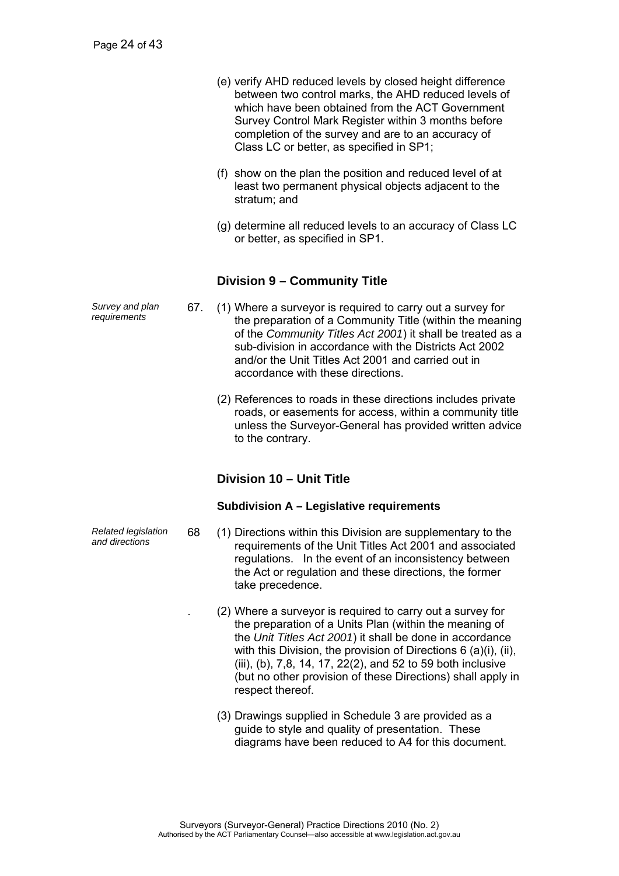- (e) verify AHD reduced levels by closed height difference between two control marks, the AHD reduced levels of which have been obtained from the ACT Government Survey Control Mark Register within 3 months before completion of the survey and are to an accuracy of Class LC or better, as specified in SP1;
- (f) show on the plan the position and reduced level of at least two permanent physical objects adjacent to the stratum; and
- (g) determine all reduced levels to an accuracy of Class LC or better, as specified in SP1.

### **Division 9 – Community Title**

- *requirements* 67. (1) Where a surveyor is required to carry out a survey for the preparation of a Community Title (within the meaning of the *Community Titles Act 2001*) it shall be treated as a sub-division in accordance with the Districts Act 2002 and/or the Unit Titles Act 2001 and carried out in accordance with these directions.
	- (2) References to roads in these directions includes private roads, or easements for access, within a community title unless the Surveyor-General has provided written advice to the contrary.

### **Division 10 – Unit Title**

#### **Subdivision A – Legislative requirements**

- *and directions* 68 (1) Directions within this Division are supplementary to the requirements of the Unit Titles Act 2001 and associated regulations. In the event of an inconsistency between the Act or regulation and these directions, the former take precedence.
	- . (2) Where a surveyor is required to carry out a survey for the preparation of a Units Plan (within the meaning of the *Unit Titles Act 2001*) it shall be done in accordance with this Division, the provision of Directions 6 (a)(i), (ii), (iii), (b), 7,8, 14, 17, 22(2), and 52 to 59 both inclusive (but no other provision of these Directions) shall apply in respect thereof.
	- (3) Drawings supplied in Schedule 3 are provided as a guide to style and quality of presentation. These diagrams have been reduced to A4 for this document.

*Survey and plan* 

*Related legislation*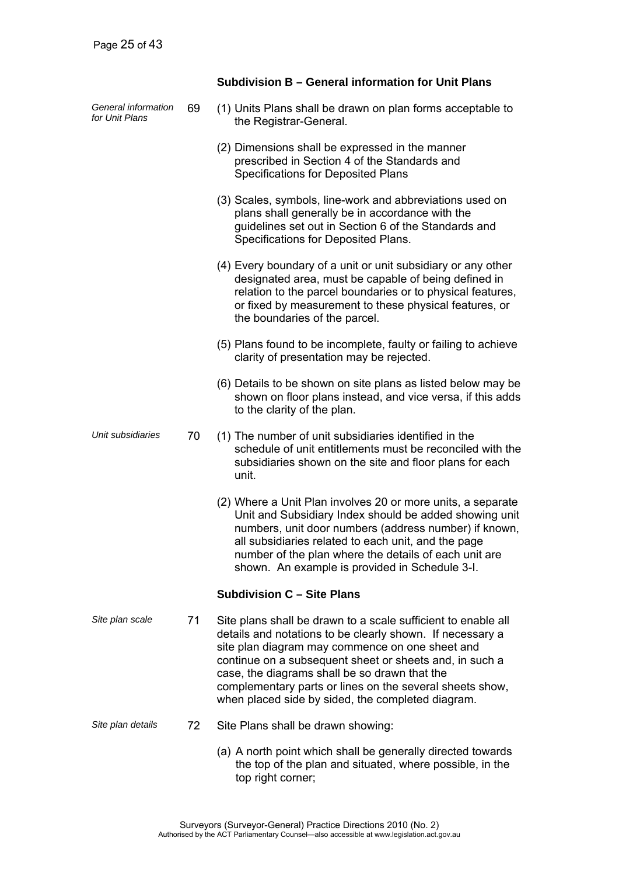|                                       |    | Subdivision B - General information for Unit Plans                                                                                                                                                                                                                                                                                                                                                         |  |  |  |  |  |  |  |  |  |
|---------------------------------------|----|------------------------------------------------------------------------------------------------------------------------------------------------------------------------------------------------------------------------------------------------------------------------------------------------------------------------------------------------------------------------------------------------------------|--|--|--|--|--|--|--|--|--|
| General information<br>for Unit Plans | 69 | (1) Units Plans shall be drawn on plan forms acceptable to<br>the Registrar-General.                                                                                                                                                                                                                                                                                                                       |  |  |  |  |  |  |  |  |  |
|                                       |    | (2) Dimensions shall be expressed in the manner<br>prescribed in Section 4 of the Standards and<br>Specifications for Deposited Plans                                                                                                                                                                                                                                                                      |  |  |  |  |  |  |  |  |  |
|                                       |    | (3) Scales, symbols, line-work and abbreviations used on<br>plans shall generally be in accordance with the<br>guidelines set out in Section 6 of the Standards and<br>Specifications for Deposited Plans.                                                                                                                                                                                                 |  |  |  |  |  |  |  |  |  |
|                                       |    | (4) Every boundary of a unit or unit subsidiary or any other<br>designated area, must be capable of being defined in<br>relation to the parcel boundaries or to physical features,<br>or fixed by measurement to these physical features, or<br>the boundaries of the parcel.                                                                                                                              |  |  |  |  |  |  |  |  |  |
|                                       |    | (5) Plans found to be incomplete, faulty or failing to achieve<br>clarity of presentation may be rejected.                                                                                                                                                                                                                                                                                                 |  |  |  |  |  |  |  |  |  |
|                                       |    | (6) Details to be shown on site plans as listed below may be<br>shown on floor plans instead, and vice versa, if this adds<br>to the clarity of the plan.                                                                                                                                                                                                                                                  |  |  |  |  |  |  |  |  |  |
| Unit subsidiaries                     | 70 | (1) The number of unit subsidiaries identified in the<br>schedule of unit entitlements must be reconciled with the<br>subsidiaries shown on the site and floor plans for each<br>unit.                                                                                                                                                                                                                     |  |  |  |  |  |  |  |  |  |
|                                       |    | (2) Where a Unit Plan involves 20 or more units, a separate<br>Unit and Subsidiary Index should be added showing unit<br>numbers, unit door numbers (address number) if known,<br>all subsidiaries related to each unit, and the page<br>number of the plan where the details of each unit are<br>shown. An example is provided in Schedule 3-I.                                                           |  |  |  |  |  |  |  |  |  |
|                                       |    | <b>Subdivision C - Site Plans</b>                                                                                                                                                                                                                                                                                                                                                                          |  |  |  |  |  |  |  |  |  |
| Site plan scale                       | 71 | Site plans shall be drawn to a scale sufficient to enable all<br>details and notations to be clearly shown. If necessary a<br>site plan diagram may commence on one sheet and<br>continue on a subsequent sheet or sheets and, in such a<br>case, the diagrams shall be so drawn that the<br>complementary parts or lines on the several sheets show,<br>when placed side by sided, the completed diagram. |  |  |  |  |  |  |  |  |  |
| Site plan details                     | 72 | Site Plans shall be drawn showing:                                                                                                                                                                                                                                                                                                                                                                         |  |  |  |  |  |  |  |  |  |
|                                       |    | (a) A north point which shall be generally directed towards<br>the top of the plan and situated, where possible, in the<br>top right corner;                                                                                                                                                                                                                                                               |  |  |  |  |  |  |  |  |  |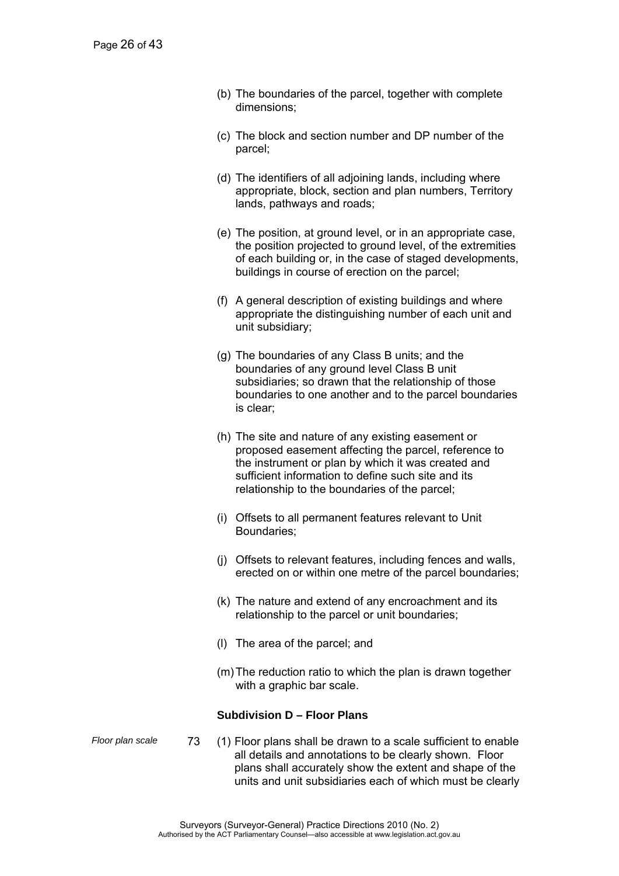- (b) The boundaries of the parcel, together with complete dimensions;
- (c) The block and section number and DP number of the parcel;
- (d) The identifiers of all adjoining lands, including where appropriate, block, section and plan numbers, Territory lands, pathways and roads;
- (e) The position, at ground level, or in an appropriate case, the position projected to ground level, of the extremities of each building or, in the case of staged developments, buildings in course of erection on the parcel;
- (f) A general description of existing buildings and where appropriate the distinguishing number of each unit and unit subsidiary;
- (g) The boundaries of any Class B units; and the boundaries of any ground level Class B unit subsidiaries; so drawn that the relationship of those boundaries to one another and to the parcel boundaries is clear;
- (h) The site and nature of any existing easement or proposed easement affecting the parcel, reference to the instrument or plan by which it was created and sufficient information to define such site and its relationship to the boundaries of the parcel;
- (i) Offsets to all permanent features relevant to Unit Boundaries;
- (j) Offsets to relevant features, including fences and walls, erected on or within one metre of the parcel boundaries;
- (k) The nature and extend of any encroachment and its relationship to the parcel or unit boundaries;
- (l) The area of the parcel; and
- (m) The reduction ratio to which the plan is drawn together with a graphic bar scale.

#### **Subdivision D – Floor Plans**

- 
- *Floor plan scale* 73 (1) Floor plans shall be drawn to a scale sufficient to enable all details and annotations to be clearly shown. Floor plans shall accurately show the extent and shape of the units and unit subsidiaries each of which must be clearly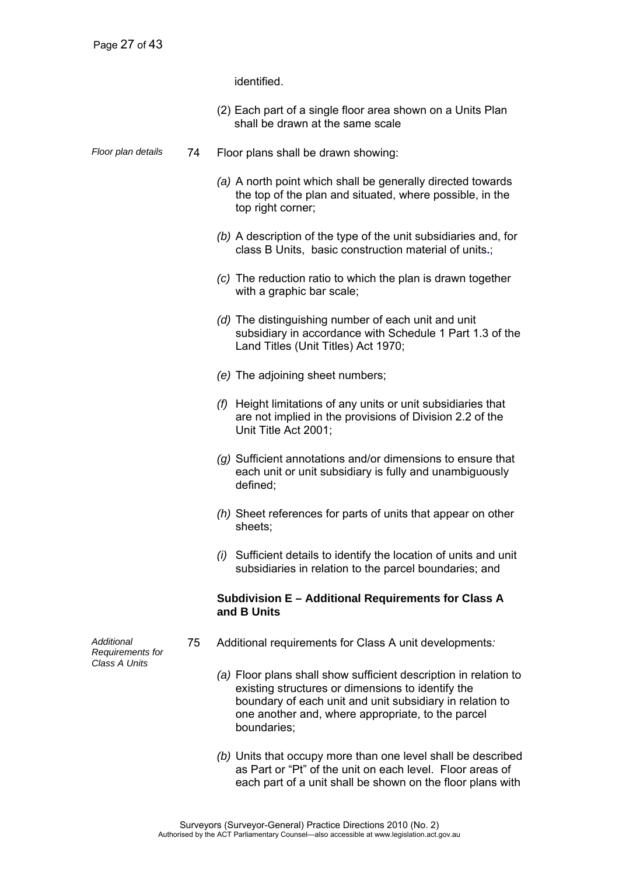identified.

- (2) Each part of a single floor area shown on a Units Plan shall be drawn at the same scale
- *Floor plan details* 74 Floor plans shall be drawn showing:
	- *(a)* A north point which shall be generally directed towards the top of the plan and situated, where possible, in the top right corner;
	- *(b)* A description of the type of the unit subsidiaries and, for class B Units, basic construction material of units**.**;
	- *(c)* The reduction ratio to which the plan is drawn together with a graphic bar scale;
	- *(d)* The distinguishing number of each unit and unit subsidiary in accordance with Schedule 1 Part 1.3 of the Land Titles (Unit Titles) Act 1970;
	- *(e)* The adjoining sheet numbers;
	- *(f)* Height limitations of any units or unit subsidiaries that are not implied in the provisions of Division 2.2 of the Unit Title Act 2001;
	- *(g)* Sufficient annotations and/or dimensions to ensure that each unit or unit subsidiary is fully and unambiguously defined;
	- *(h)* Sheet references for parts of units that appear on other sheets;
	- *(i)* Sufficient details to identify the location of units and unit subsidiaries in relation to the parcel boundaries; and

### **Subdivision E – Additional Requirements for Class A and B Units**

- 75 Additional requirements for Class A unit developments*:* 
	- *(a)* Floor plans shall show sufficient description in relation to existing structures or dimensions to identify the boundary of each unit and unit subsidiary in relation to one another and, where appropriate, to the parcel boundaries;
	- *(b)* Units that occupy more than one level shall be described as Part or "Pt" of the unit on each level. Floor areas of each part of a unit shall be shown on the floor plans with

*Additional Requirements for Class A Units*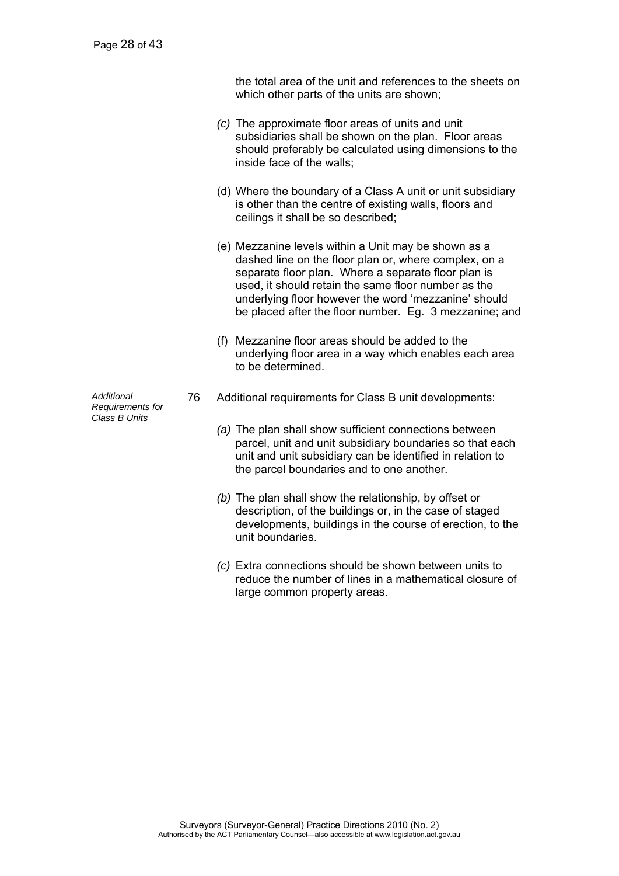the total area of the unit and references to the sheets on which other parts of the units are shown;

- *(c)* The approximate floor areas of units and unit subsidiaries shall be shown on the plan. Floor areas should preferably be calculated using dimensions to the inside face of the walls;
- (d) Where the boundary of a Class A unit or unit subsidiary is other than the centre of existing walls, floors and ceilings it shall be so described;
- (e) Mezzanine levels within a Unit may be shown as a dashed line on the floor plan or, where complex, on a separate floor plan. Where a separate floor plan is used, it should retain the same floor number as the underlying floor however the word 'mezzanine' should be placed after the floor number. Eg. 3 mezzanine; and
- (f) Mezzanine floor areas should be added to the underlying floor area in a way which enables each area to be determined.
- 76 Additional requirements for Class B unit developments:
	- *(a)* The plan shall show sufficient connections between parcel, unit and unit subsidiary boundaries so that each unit and unit subsidiary can be identified in relation to the parcel boundaries and to one another.
	- *(b)* The plan shall show the relationship, by offset or description, of the buildings or, in the case of staged developments, buildings in the course of erection, to the unit boundaries.
	- *(c)* Extra connections should be shown between units to reduce the number of lines in a mathematical closure of large common property areas.

*Additional Requirements for Class B Units*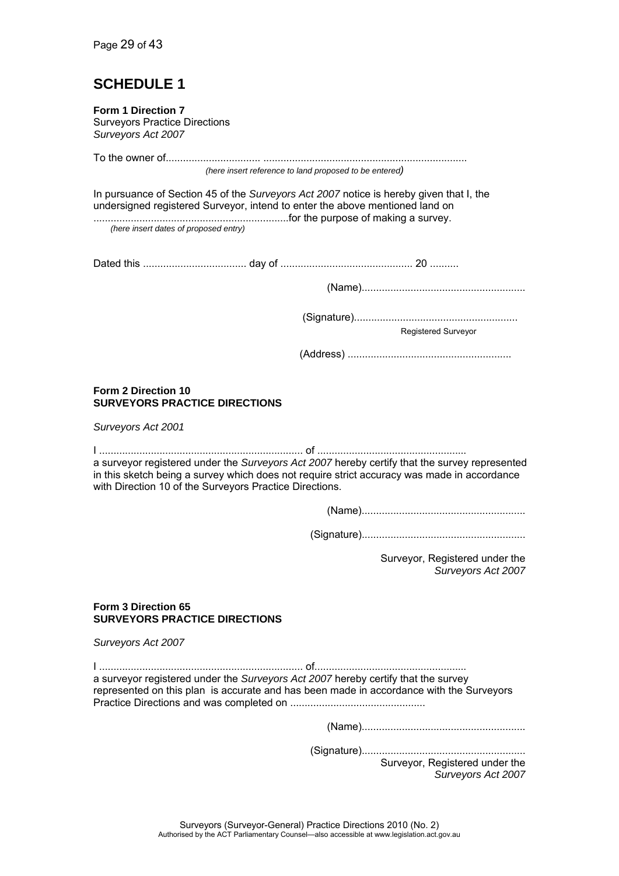# **SCHEDULE 1**

| Form 1 Direction 7<br><b>Surveyors Practice Directions</b><br>Surveyors Act 2007 |                                                                              |                                                                                                                                                                                              |
|----------------------------------------------------------------------------------|------------------------------------------------------------------------------|----------------------------------------------------------------------------------------------------------------------------------------------------------------------------------------------|
|                                                                                  |                                                                              |                                                                                                                                                                                              |
|                                                                                  | (here insert reference to land proposed to be entered)                       |                                                                                                                                                                                              |
|                                                                                  | undersigned registered Surveyor, intend to enter the above mentioned land on | In pursuance of Section 45 of the Surveyors Act 2007 notice is hereby given that I, the                                                                                                      |
| (here insert dates of proposed entry)                                            |                                                                              |                                                                                                                                                                                              |
|                                                                                  |                                                                              |                                                                                                                                                                                              |
|                                                                                  |                                                                              |                                                                                                                                                                                              |
|                                                                                  |                                                                              | <b>Registered Surveyor</b>                                                                                                                                                                   |
|                                                                                  |                                                                              |                                                                                                                                                                                              |
| Form 2 Direction 10<br><b>SURVEYORS PRACTICE DIRECTIONS</b>                      |                                                                              |                                                                                                                                                                                              |
| Surveyors Act 2001                                                               |                                                                              |                                                                                                                                                                                              |
|                                                                                  | with Direction 10 of the Surveyors Practice Directions.                      | a surveyor registered under the Surveyors Act 2007 hereby certify that the survey represented<br>in this sketch being a survey which does not require strict accuracy was made in accordance |
|                                                                                  |                                                                              |                                                                                                                                                                                              |
|                                                                                  |                                                                              |                                                                                                                                                                                              |
|                                                                                  |                                                                              | Surveyor, Registered under the<br>Surveyors Act 2007                                                                                                                                         |
| Form 3 Direction 65<br><b>SURVEYORS PRACTICE DIRECTIONS</b>                      |                                                                              |                                                                                                                                                                                              |
| Surveyors Act 2007                                                               |                                                                              |                                                                                                                                                                                              |
|                                                                                  |                                                                              | a surveyor registered under the Surveyors Act 2007 hereby certify that the survey<br>represented on this plan is accurate and has been made in accordance with the Surveyors                 |
|                                                                                  |                                                                              |                                                                                                                                                                                              |
|                                                                                  |                                                                              | Surveyor, Registered under the<br>Surveyors Act 2007                                                                                                                                         |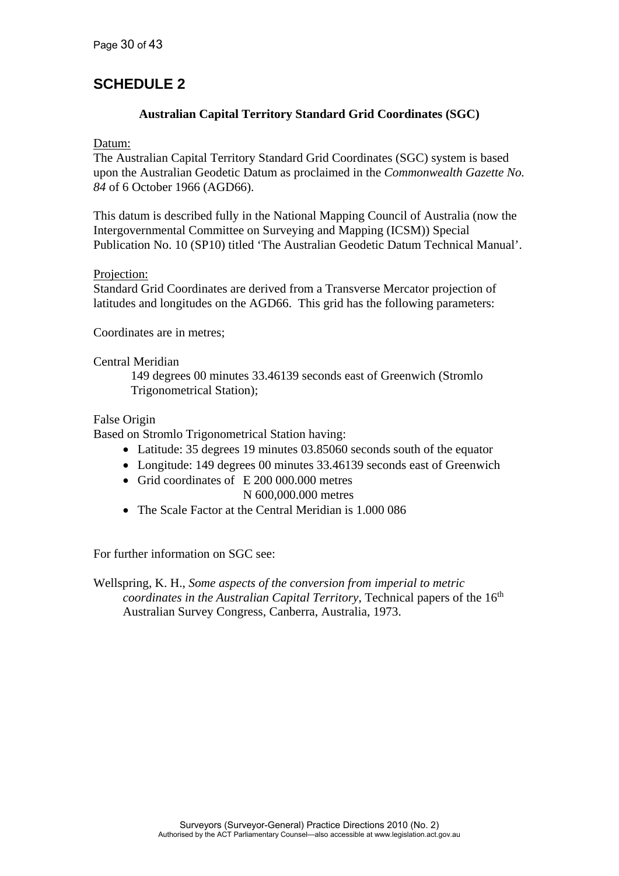### **SCHEDULE 2**

### **Australian Capital Territory Standard Grid Coordinates (SGC)**

Datum:

The Australian Capital Territory Standard Grid Coordinates (SGC) system is based upon the Australian Geodetic Datum as proclaimed in the *Commonwealth Gazette No. 84* of 6 October 1966 (AGD66).

This datum is described fully in the National Mapping Council of Australia (now the Intergovernmental Committee on Surveying and Mapping (ICSM)) Special Publication No. 10 (SP10) titled 'The Australian Geodetic Datum Technical Manual'.

### Projection:

Standard Grid Coordinates are derived from a Transverse Mercator projection of latitudes and longitudes on the AGD66. This grid has the following parameters:

Coordinates are in metres;

Central Meridian

149 degrees 00 minutes 33.46139 seconds east of Greenwich (Stromlo Trigonometrical Station);

### False Origin

Based on Stromlo Trigonometrical Station having:

- Latitude: 35 degrees 19 minutes 03.85060 seconds south of the equator
- Longitude: 149 degrees 00 minutes 33.46139 seconds east of Greenwich
- Grid coordinates of E 200 000.000 metres N 600,000.000 metres
- The Scale Factor at the Central Meridian is 1.000 086

For further information on SGC see:

Wellspring, K. H., *Some aspects of the conversion from imperial to metric coordinates in the Australian Capital Territory*, Technical papers of the 16<sup>th</sup> Australian Survey Congress, Canberra, Australia, 1973.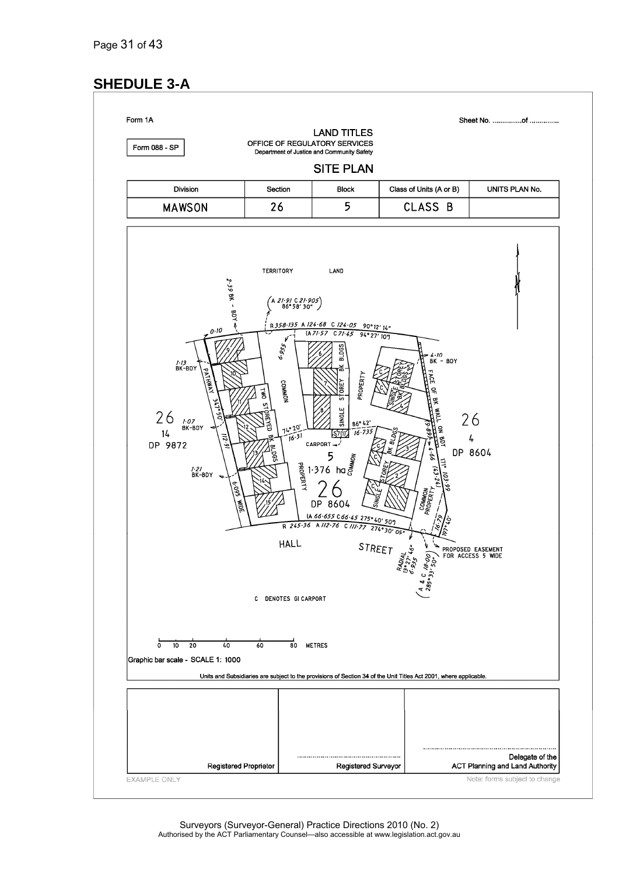# **SHEDULE 3-A**

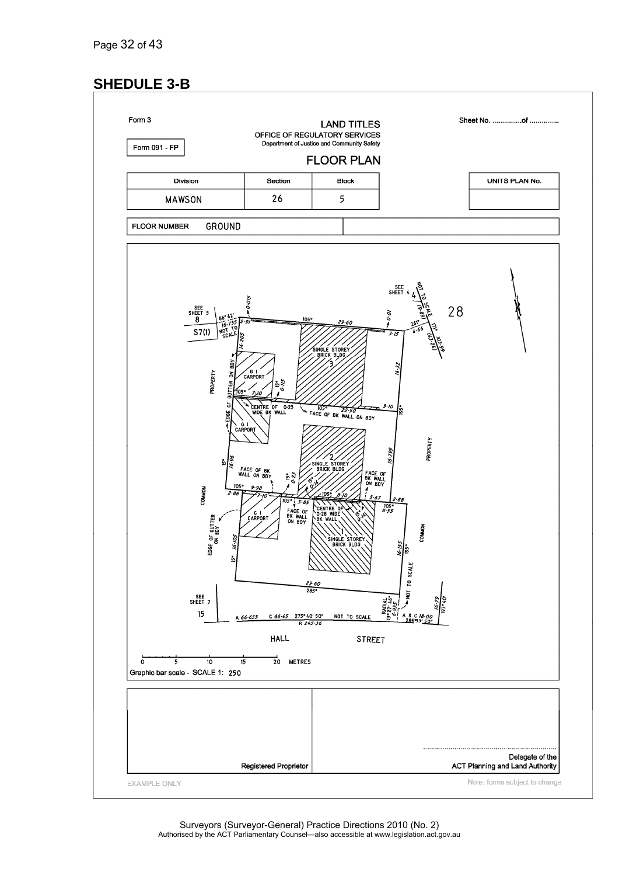### **SHEDULE 3-B**

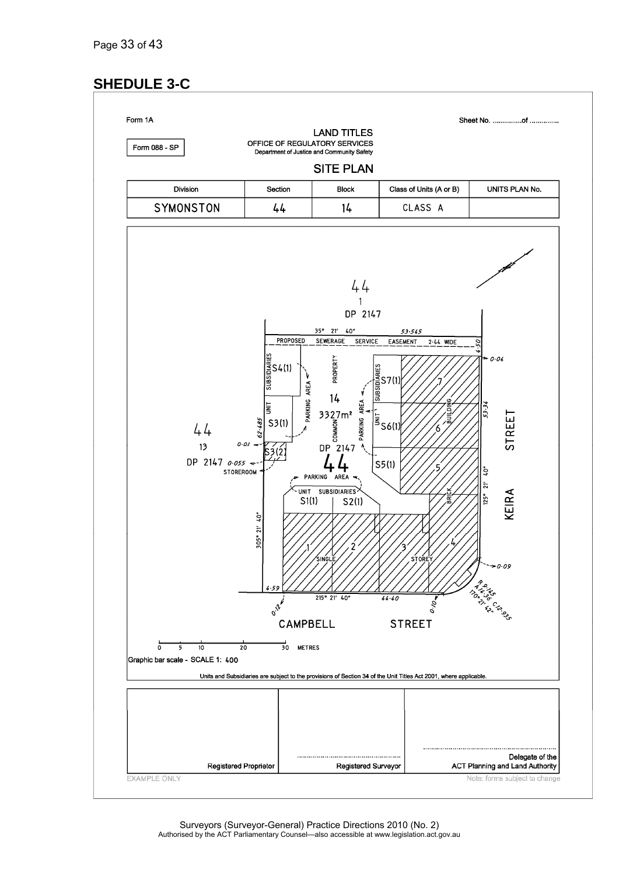# **SHEDULE 3-C**

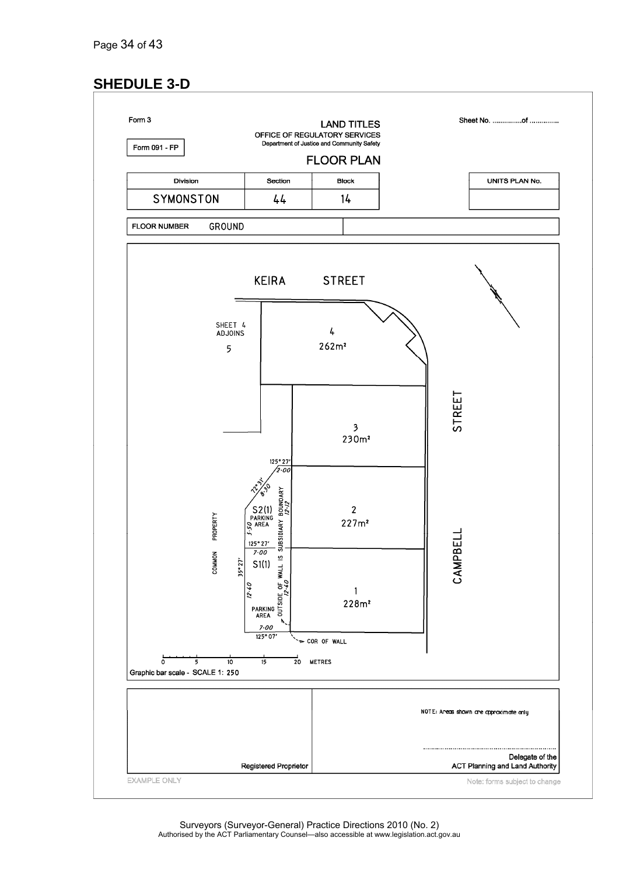# **SHEDULE 3-D**

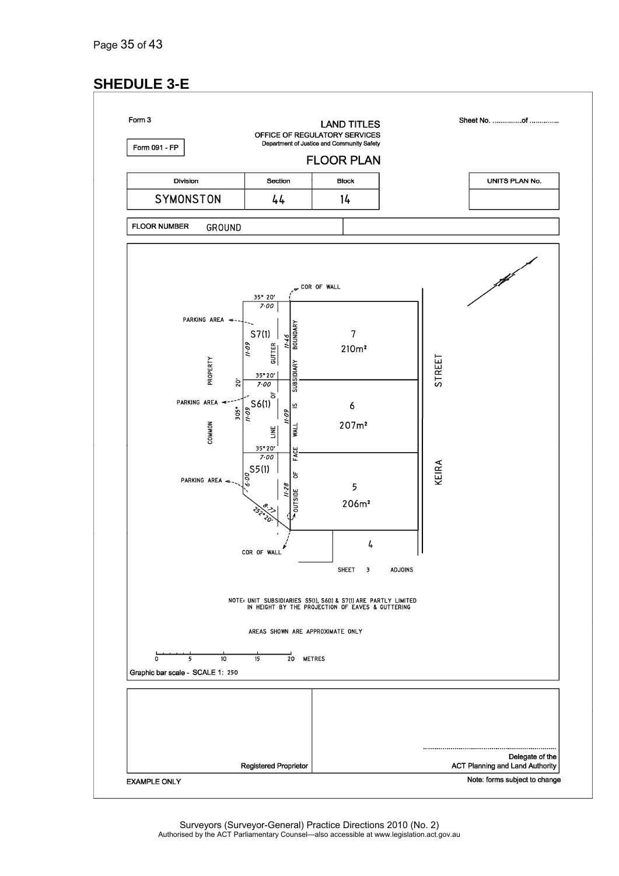# **SHEDULE 3-E**

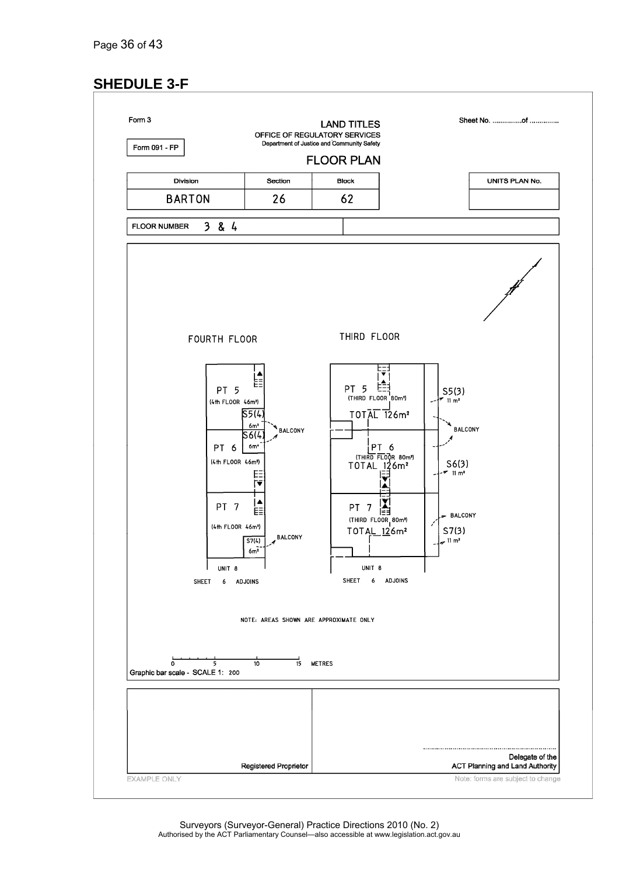# **SHEDULE 3-F**

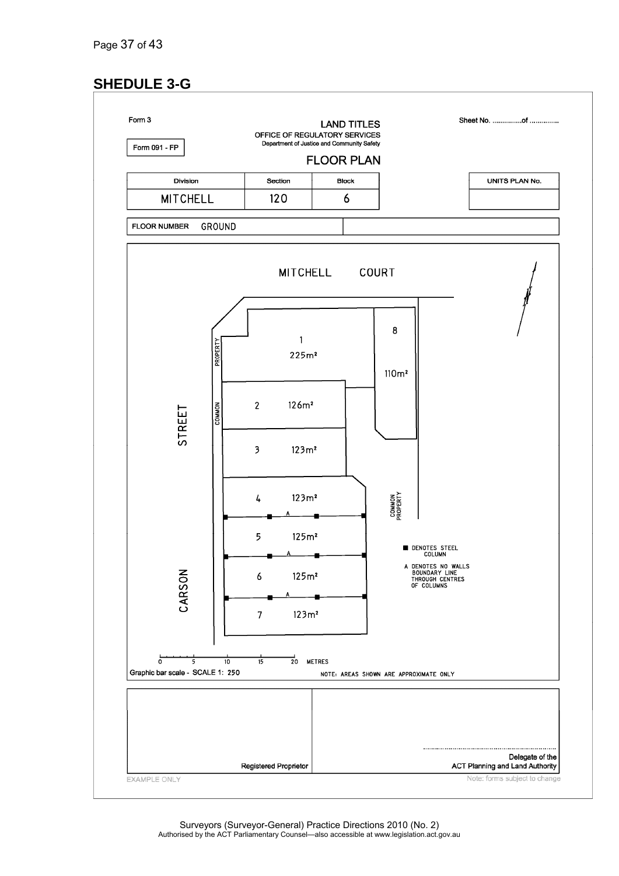# **SHEDULE 3-G**



Surveyors (Surveyor-General) Practice Directions 2010 (No. 2) Authorised by the ACT Parliamentary Counsel—also accessible at www.legislation.act.gov.au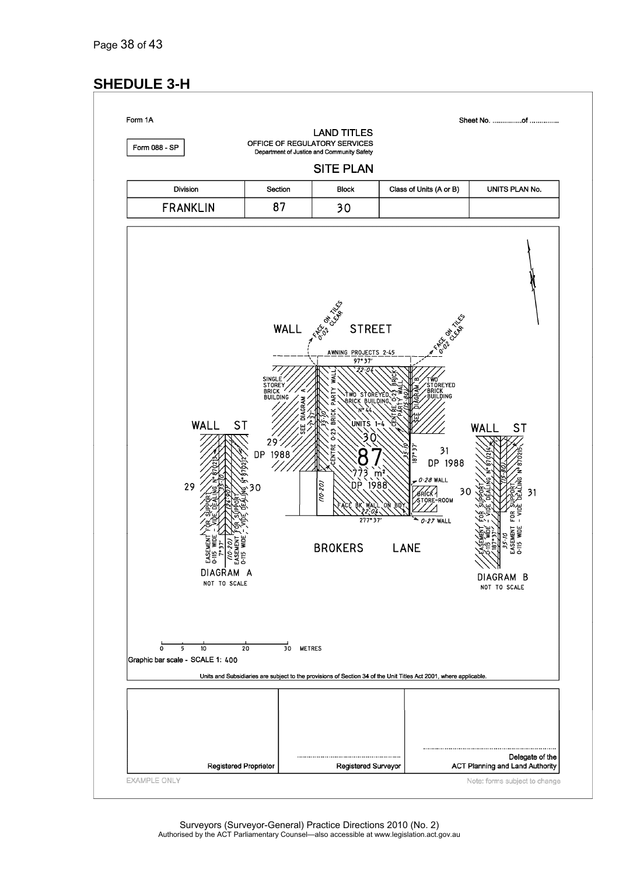### **SHEDULE 3-H**

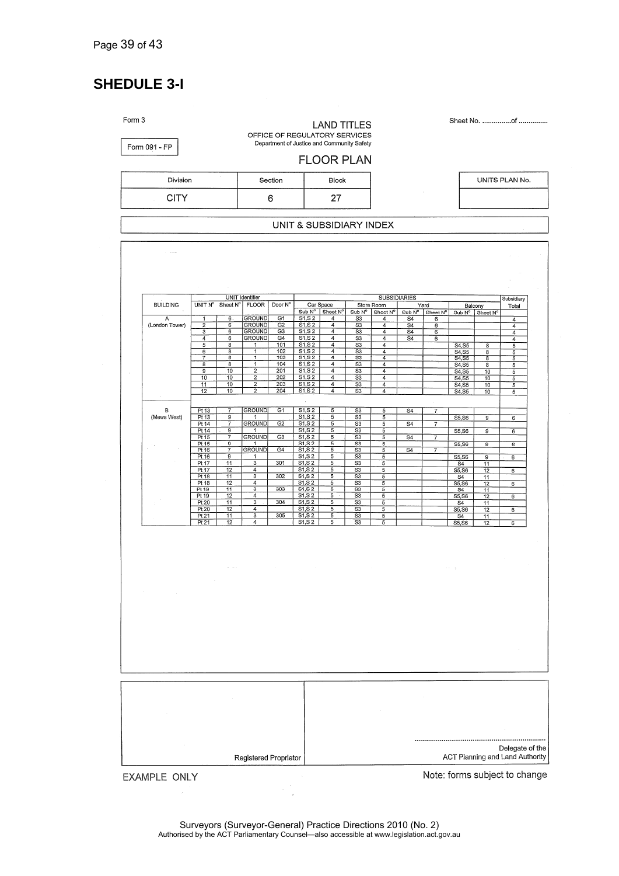# **SHEDULE 3-I**

| $\cdot$<br>Division<br>Section |                                   |                                                                      |                                       |                                                             |                            | <b>FLOOR PLAN</b><br><b>Block</b>         |                                         |                                                                                  |                             |                                                      |                                  |                                         |                                              | UNITS PLAN No.           |
|--------------------------------|-----------------------------------|----------------------------------------------------------------------|---------------------------------------|-------------------------------------------------------------|----------------------------|-------------------------------------------|-----------------------------------------|----------------------------------------------------------------------------------|-----------------------------|------------------------------------------------------|----------------------------------|-----------------------------------------|----------------------------------------------|--------------------------|
| <b>CITY</b>                    |                                   |                                                                      |                                       |                                                             | 6                          | 27                                        |                                         |                                                                                  |                             |                                                      |                                  |                                         |                                              |                          |
|                                |                                   |                                                                      |                                       |                                                             |                            |                                           | UNIT & SUBSIDIARY INDEX                 |                                                                                  |                             |                                                      |                                  |                                         |                                              |                          |
|                                |                                   |                                                                      |                                       |                                                             |                            |                                           |                                         |                                                                                  |                             |                                                      |                                  |                                         |                                              |                          |
|                                |                                   |                                                                      |                                       |                                                             |                            |                                           |                                         |                                                                                  |                             |                                                      |                                  |                                         |                                              |                          |
|                                |                                   |                                                                      |                                       | <b>UNIT Identifier</b>                                      |                            |                                           |                                         |                                                                                  | <b>SUBSIDIARIES</b>         |                                                      |                                  |                                         |                                              | Subsidiary               |
|                                | <b>BUILDING</b><br>$\overline{A}$ | UNIT N°<br>1                                                         | Sheet N°<br>6.                        | <b>FLOOR</b><br><b>GROUND</b>                               | Door N°<br>G1              | Sub N°<br>S1, S2                          | Car Space<br>Sheet Nº<br>$\overline{4}$ | Sub N°<br>S3                                                                     | Store Room<br>Sheet Nº<br>4 | $Sub N^{\circ}$<br>S <sub>4</sub>                    | Yard<br>Sheet $N^{\circ}$<br>6   |                                         | Balcony<br>Sub $N^{\circ}$ Sheet $N^{\circ}$ | Total<br>$\overline{4}$  |
|                                | (London Tower)                    | $\overline{\mathbf{2}}$<br>$\overline{\mathbf{3}}$<br>$\overline{4}$ | 6<br>6<br>$\overline{6}$              | <b>GROUND</b><br><b>GROUND</b><br><b>GROUND</b>             | G2<br>G <sub>3</sub><br>G4 | S1, S2<br>S1, S2<br>S1, S2                | $\overline{4}$<br>4<br>4                | $\overline{\text{S3}}$<br>S3<br>S <sub>3</sub>                                   | 4<br>4<br>4                 | $\overline{S4}$<br>$\overline{S4}$<br>S <sub>4</sub> | 6<br>6<br>6                      |                                         |                                              | $\overline{4}$<br>4<br>4 |
|                                |                                   | 5<br>6                                                               | 8<br>8                                | 1<br>1                                                      | 101<br>102                 | S1, S2<br>S1, S2                          | 4<br>4                                  | S3<br>S3                                                                         | 4<br>4                      |                                                      |                                  | S4, S5<br>S4, S5                        | $\overline{\mathbf{8}}$<br>8                 | 5<br>5                   |
|                                |                                   | $\overline{\tau}$<br>$\overline{\mathbf{8}}$<br>$\overline{9}$       | 8<br>8<br>10                          | 1<br>1<br>$\overline{2}$                                    | 103<br>104<br>201          | <b>S1, S2</b><br>S1, S2<br>S1, S2         | 4<br>4<br>$\overline{4}$                | S3<br>S <sub>3</sub><br>S <sub>3</sub>                                           | 4<br>$\overline{4}$<br>4    |                                                      |                                  | S4, S5<br>S4, S5<br>$\overline{S4, S5}$ | $\overline{\mathbf{8}}$<br>8<br>10           | 5<br>5<br>5              |
|                                |                                   | 10<br>11<br>12                                                       | 10<br>10<br>10                        | $\overline{2}$<br>$\overline{2}$<br>$\overline{\mathbf{2}}$ | 202<br>203<br>204          | S1, S2<br>S1, S2<br>S1, S 2               | 4<br>$\overline{4}$<br>4                | $\overline{\mathsf{S}3}$<br>S <sub>3</sub><br>S <sub>3</sub>                     | 4<br>4<br>4                 |                                                      |                                  | S4,S5<br>S4, S5<br>S4, S5               | 10<br>10<br>10                               | 5<br>5<br>5              |
|                                | в<br>(Mews West)                  | Pt13<br>Pt 13                                                        | 7<br>9                                | <b>GROUND</b><br>1                                          | G1                         | S1, S2<br>S1, S2                          | 5<br>5                                  | S <sub>3</sub><br>S <sub>3</sub>                                                 | 5<br>5                      | S <sub>4</sub>                                       | $\overline{7}$                   | S5, S6                                  | 9                                            | 6                        |
|                                |                                   | Pt 14<br>Pt 14<br>Pt 15                                              | $\overline{7}$<br>$\overline{9}$<br>7 | <b>GROUND</b><br><b>GROUND</b>                              | G2<br>G3                   | S1, S2<br>S1, S2<br>S1, S2                | 5<br>5<br>$\overline{5}$                | S <sub>3</sub><br>S <sub>3</sub><br>$\overline{\mathsf{s}}\overline{\mathsf{s}}$ | 5<br>5                      | $\overline{S4}$<br>$\overline{S4}$                   | $\overline{7}$                   | S5, S6                                  | 9                                            | 6                        |
|                                |                                   | Pt 15<br>Pt 16                                                       | g<br>7                                | 1<br><b>GROUND</b>                                          | G4                         | S1, S2<br>S1, S2                          | 5<br>5                                  | S3<br>$\overline{\text{S3}}$                                                     | 5<br>5<br>5                 | $\overline{S4}$                                      | $\overline{7}$<br>$\overline{7}$ | S5, S6                                  | $\overline{9}$                               | $\epsilon$               |
|                                |                                   | Pt 16<br>Pt17<br>Pt 17                                               | 9<br>11<br>12                         | 1<br>3<br>4                                                 | 301                        | S1, S2<br>S1, S2<br>S1, S2                | 5<br>5<br>$\sqrt{5}$                    | S3<br>S3<br>S3                                                                   | 5<br>5<br>5                 |                                                      |                                  | S5, S6<br>S <sub>4</sub><br>S5, S6      | $\overline{9}$<br>11<br>$\overline{12}$      | 6<br>6                   |
|                                |                                   | Pt 18<br>Pt 18<br>Pt 19                                              | 11<br>12<br>$\overline{11}$           | 3<br>$\overline{4}$<br>3                                    | 302<br>303                 | S1, S2<br>S1, S 2<br>S1, S2               | 5<br>5<br>5                             | S3<br>S3<br>S <sub>3</sub>                                                       | 5<br>5<br>5                 |                                                      |                                  | S <sub>4</sub><br>S5, S6<br>S4          | 11<br>12<br>11                               | 6                        |
|                                |                                   | Pt 19<br>Pt 20<br>Pt 20                                              | 12<br>11<br>12                        | $\overline{4}$<br>3<br>4                                    | 304                        | S1, S2<br>S1, S2<br>$S_{1,S_2}$           | 5<br>5<br>5                             | S3<br>S3<br>S <sub>3</sub>                                                       | 5<br>5<br>5                 |                                                      |                                  | S5, S6<br>S <sub>4</sub><br>S5, S6      | 12<br>11<br>12                               | 6<br>6                   |
|                                |                                   | Pt 21<br>Pt 21                                                       | 11<br>12                              | 3<br>4                                                      | 305                        | S <sub>1</sub> , S <sub>2</sub><br>S1, S2 | 5<br>$\overline{5}$                     | S <sub>3</sub><br>S <sub>3</sub>                                                 | 5<br>5                      |                                                      |                                  | S4<br>S5, S6                            | 11<br>12                                     | 6                        |
|                                |                                   |                                                                      |                                       |                                                             |                            |                                           |                                         |                                                                                  |                             |                                                      |                                  |                                         |                                              |                          |
|                                |                                   |                                                                      |                                       |                                                             |                            |                                           |                                         |                                                                                  |                             |                                                      |                                  |                                         |                                              |                          |
|                                |                                   |                                                                      |                                       |                                                             |                            |                                           |                                         |                                                                                  |                             |                                                      |                                  |                                         |                                              |                          |
|                                |                                   |                                                                      |                                       |                                                             |                            |                                           |                                         |                                                                                  |                             |                                                      |                                  |                                         |                                              |                          |
|                                |                                   |                                                                      |                                       |                                                             |                            |                                           |                                         |                                                                                  |                             |                                                      |                                  |                                         |                                              |                          |
|                                |                                   |                                                                      |                                       |                                                             |                            |                                           |                                         |                                                                                  |                             |                                                      |                                  |                                         |                                              |                          |
|                                |                                   |                                                                      |                                       |                                                             |                            |                                           |                                         |                                                                                  |                             |                                                      |                                  |                                         |                                              |                          |
|                                |                                   |                                                                      |                                       |                                                             |                            |                                           |                                         |                                                                                  |                             |                                                      |                                  |                                         |                                              |                          |

EXAMPLE ONLY

Note: forms subject to change

 $\frac{1}{2} \frac{d^2}{dt^2}$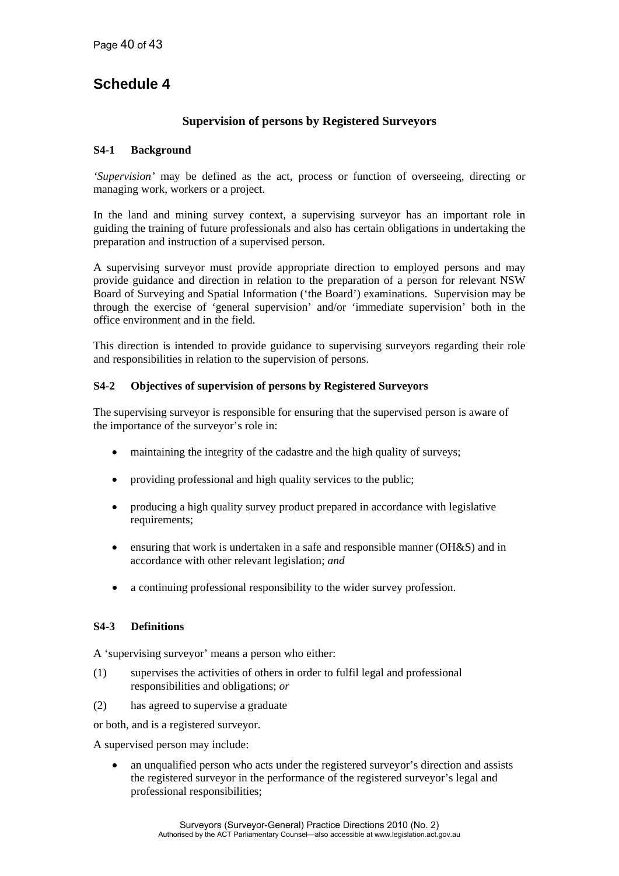# **Schedule 4**

### **Supervision of persons by Registered Surveyors**

### **S4-1 Background**

*'Supervision'* may be defined as the act, process or function of overseeing, directing or managing work, workers or a project.

In the land and mining survey context, a supervising surveyor has an important role in guiding the training of future professionals and also has certain obligations in undertaking the preparation and instruction of a supervised person.

A supervising surveyor must provide appropriate direction to employed persons and may provide guidance and direction in relation to the preparation of a person for relevant NSW Board of Surveying and Spatial Information ('the Board') examinations. Supervision may be through the exercise of 'general supervision' and/or 'immediate supervision' both in the office environment and in the field.

This direction is intended to provide guidance to supervising surveyors regarding their role and responsibilities in relation to the supervision of persons.

#### **S4-2 Objectives of supervision of persons by Registered Surveyors**

The supervising surveyor is responsible for ensuring that the supervised person is aware of the importance of the surveyor's role in:

- maintaining the integrity of the cadastre and the high quality of surveys;
- providing professional and high quality services to the public;
- producing a high quality survey product prepared in accordance with legislative requirements;
- ensuring that work is undertaken in a safe and responsible manner (OH&S) and in accordance with other relevant legislation; *and*
- a continuing professional responsibility to the wider survey profession.

### **S4-3 Definitions**

A 'supervising surveyor' means a person who either:

- (1) supervises the activities of others in order to fulfil legal and professional responsibilities and obligations; *or*
- (2) has agreed to supervise a graduate

or both, and is a registered surveyor.

A supervised person may include:

 an unqualified person who acts under the registered surveyor's direction and assists the registered surveyor in the performance of the registered surveyor's legal and professional responsibilities;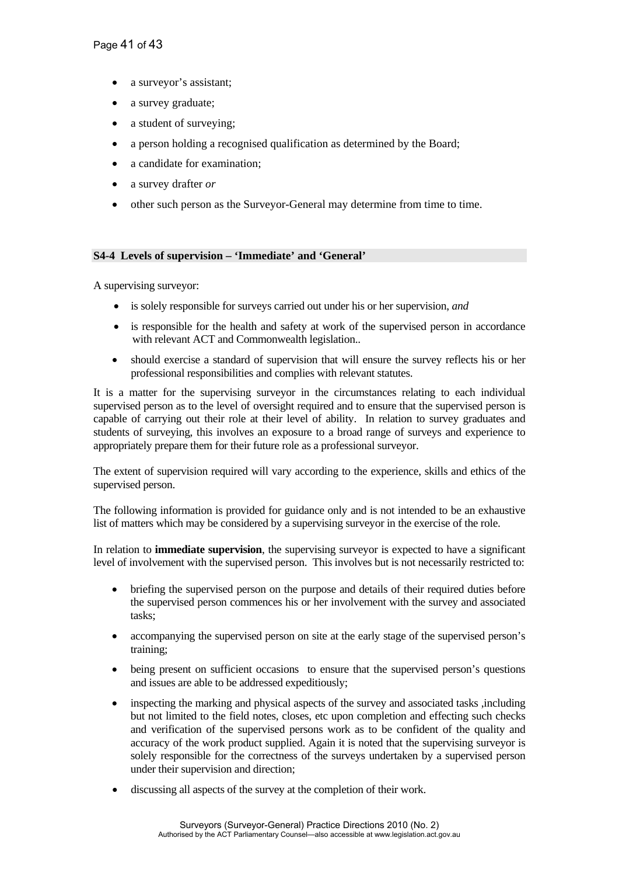- a surveyor's assistant;
- a survey graduate;
- a student of surveying;
- a person holding a recognised qualification as determined by the Board;
- a candidate for examination;
- a survey drafter *or*
- other such person as the Surveyor-General may determine from time to time.

#### **S4-4 Levels of supervision – 'Immediate' and 'General'**

A supervising surveyor:

- is solely responsible for surveys carried out under his or her supervision, *and*
- is responsible for the health and safety at work of the supervised person in accordance with relevant ACT and Commonwealth legislation..
- should exercise a standard of supervision that will ensure the survey reflects his or her professional responsibilities and complies with relevant statutes.

It is a matter for the supervising surveyor in the circumstances relating to each individual supervised person as to the level of oversight required and to ensure that the supervised person is capable of carrying out their role at their level of ability. In relation to survey graduates and students of surveying, this involves an exposure to a broad range of surveys and experience to appropriately prepare them for their future role as a professional surveyor.

The extent of supervision required will vary according to the experience, skills and ethics of the supervised person.

The following information is provided for guidance only and is not intended to be an exhaustive list of matters which may be considered by a supervising surveyor in the exercise of the role.

In relation to **immediate supervision**, the supervising surveyor is expected to have a significant level of involvement with the supervised person. This involves but is not necessarily restricted to:

- briefing the supervised person on the purpose and details of their required duties before the supervised person commences his or her involvement with the survey and associated tasks;
- accompanying the supervised person on site at the early stage of the supervised person's training;
- being present on sufficient occasions to ensure that the supervised person's questions and issues are able to be addressed expeditiously;
- inspecting the marking and physical aspects of the survey and associated tasks ,including but not limited to the field notes, closes, etc upon completion and effecting such checks and verification of the supervised persons work as to be confident of the quality and accuracy of the work product supplied. Again it is noted that the supervising surveyor is solely responsible for the correctness of the surveys undertaken by a supervised person under their supervision and direction;
- discussing all aspects of the survey at the completion of their work.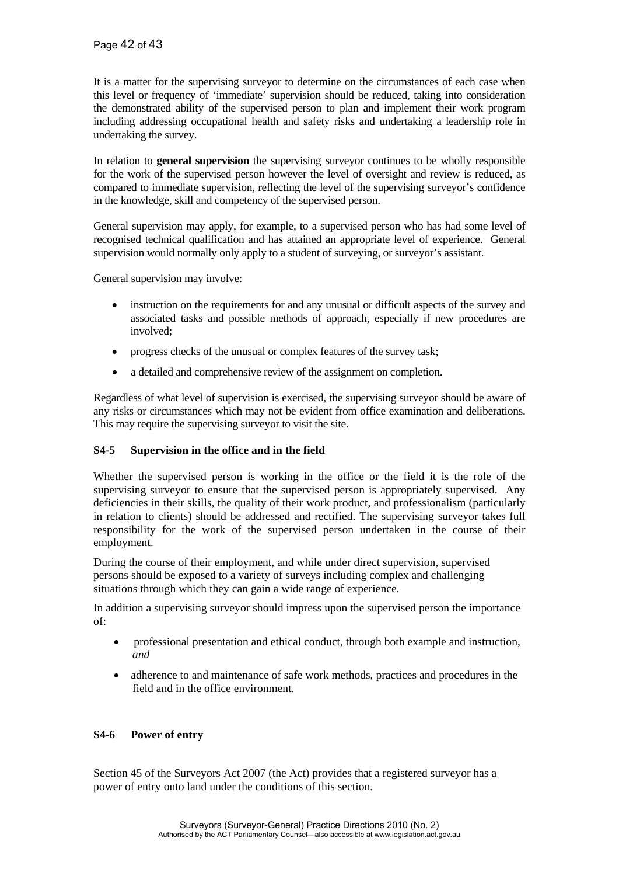It is a matter for the supervising surveyor to determine on the circumstances of each case when this level or frequency of 'immediate' supervision should be reduced, taking into consideration the demonstrated ability of the supervised person to plan and implement their work program including addressing occupational health and safety risks and undertaking a leadership role in undertaking the survey.

In relation to **general supervision** the supervising surveyor continues to be wholly responsible for the work of the supervised person however the level of oversight and review is reduced, as compared to immediate supervision, reflecting the level of the supervising surveyor's confidence in the knowledge, skill and competency of the supervised person.

General supervision may apply, for example, to a supervised person who has had some level of recognised technical qualification and has attained an appropriate level of experience. General supervision would normally only apply to a student of surveying, or surveyor's assistant.

General supervision may involve:

- instruction on the requirements for and any unusual or difficult aspects of the survey and associated tasks and possible methods of approach, especially if new procedures are involved;
- progress checks of the unusual or complex features of the survey task;
- a detailed and comprehensive review of the assignment on completion.

Regardless of what level of supervision is exercised, the supervising surveyor should be aware of any risks or circumstances which may not be evident from office examination and deliberations. This may require the supervising surveyor to visit the site.

### **S4-5 Supervision in the office and in the field**

Whether the supervised person is working in the office or the field it is the role of the supervising surveyor to ensure that the supervised person is appropriately supervised. Any deficiencies in their skills, the quality of their work product, and professionalism (particularly in relation to clients) should be addressed and rectified. The supervising surveyor takes full responsibility for the work of the supervised person undertaken in the course of their employment.

During the course of their employment, and while under direct supervision, supervised persons should be exposed to a variety of surveys including complex and challenging situations through which they can gain a wide range of experience.

In addition a supervising surveyor should impress upon the supervised person the importance of:

- professional presentation and ethical conduct, through both example and instruction, *and*
- adherence to and maintenance of safe work methods, practices and procedures in the field and in the office environment.

### **S4-6 Power of entry**

Section 45 of the Surveyors Act 2007 (the Act) provides that a registered surveyor has a power of entry onto land under the conditions of this section.